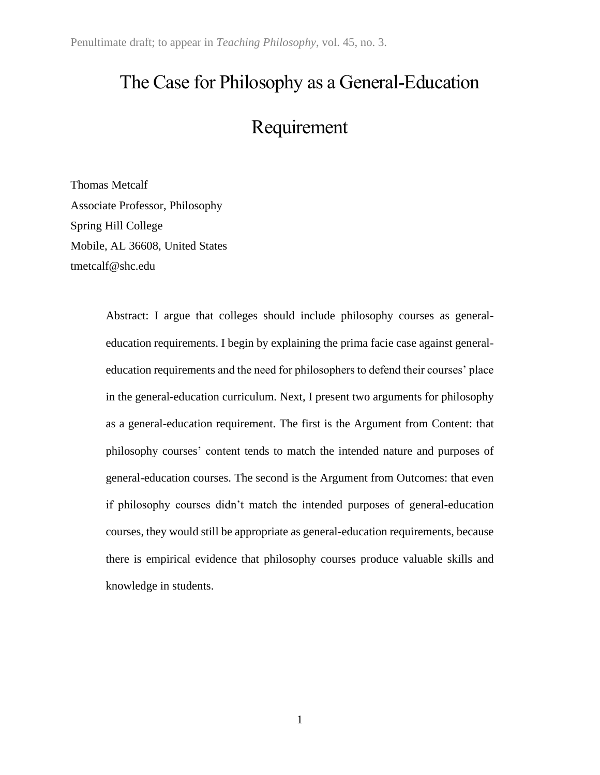# The Case for Philosophy as a General-Education

# Requirement

Thomas Metcalf Associate Professor, Philosophy Spring Hill College Mobile, AL 36608, United States tmetcalf@shc.edu

> Abstract: I argue that colleges should include philosophy courses as generaleducation requirements. I begin by explaining the prima facie case against generaleducation requirements and the need for philosophers to defend their courses' place in the general-education curriculum. Next, I present two arguments for philosophy as a general-education requirement. The first is the Argument from Content: that philosophy courses' content tends to match the intended nature and purposes of general-education courses. The second is the Argument from Outcomes: that even if philosophy courses didn't match the intended purposes of general-education courses, they would still be appropriate as general-education requirements, because there is empirical evidence that philosophy courses produce valuable skills and knowledge in students.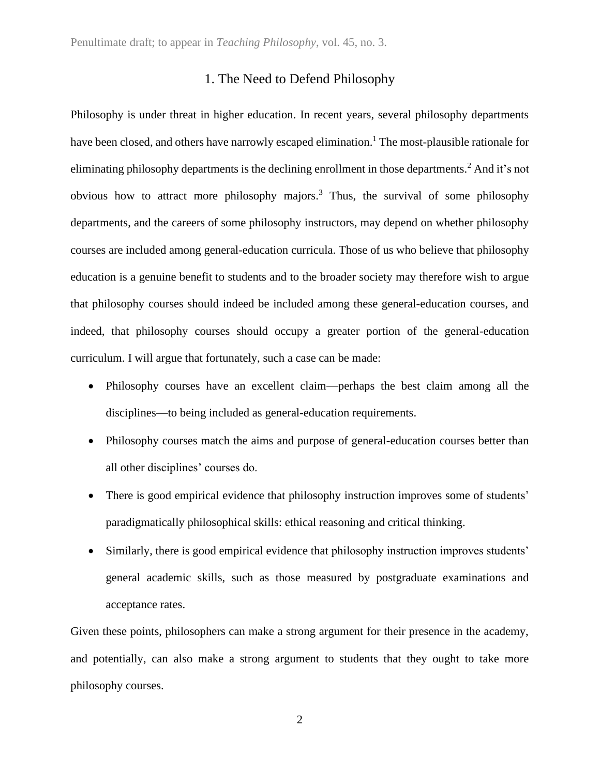# 1. The Need to Defend Philosophy

Philosophy is under threat in higher education. In recent years, several philosophy departments have been closed, and others have narrowly escaped elimination.<sup>1</sup> The most-plausible rationale for eliminating philosophy departments is the declining enrollment in those departments.<sup>2</sup> And it's not obvious how to attract more philosophy majors.<sup>3</sup> Thus, the survival of some philosophy departments, and the careers of some philosophy instructors, may depend on whether philosophy courses are included among general-education curricula. Those of us who believe that philosophy education is a genuine benefit to students and to the broader society may therefore wish to argue that philosophy courses should indeed be included among these general-education courses, and indeed, that philosophy courses should occupy a greater portion of the general-education curriculum. I will argue that fortunately, such a case can be made:

- Philosophy courses have an excellent claim—perhaps the best claim among all the disciplines—to being included as general-education requirements.
- Philosophy courses match the aims and purpose of general-education courses better than all other disciplines' courses do.
- There is good empirical evidence that philosophy instruction improves some of students' paradigmatically philosophical skills: ethical reasoning and critical thinking.
- Similarly, there is good empirical evidence that philosophy instruction improves students' general academic skills, such as those measured by postgraduate examinations and acceptance rates.

Given these points, philosophers can make a strong argument for their presence in the academy, and potentially, can also make a strong argument to students that they ought to take more philosophy courses.

2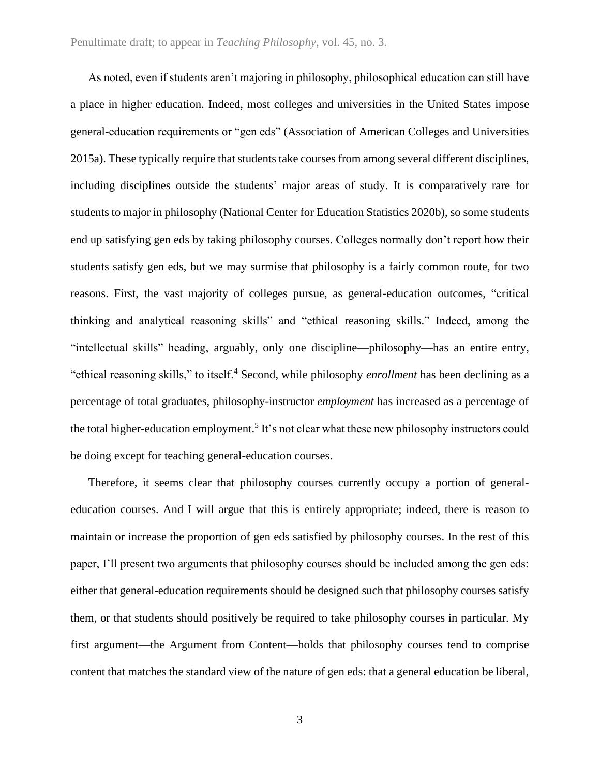As noted, even if students aren't majoring in philosophy, philosophical education can still have a place in higher education. Indeed, most colleges and universities in the United States impose general-education requirements or "gen eds" (Association of American Colleges and Universities 2015a). These typically require that students take courses from among several different disciplines, including disciplines outside the students' major areas of study. It is comparatively rare for students to major in philosophy (National Center for Education Statistics 2020b), so some students end up satisfying gen eds by taking philosophy courses. Colleges normally don't report how their students satisfy gen eds, but we may surmise that philosophy is a fairly common route, for two reasons. First, the vast majority of colleges pursue, as general-education outcomes, "critical thinking and analytical reasoning skills" and "ethical reasoning skills." Indeed, among the "intellectual skills" heading, arguably, only one discipline—philosophy—has an entire entry, "ethical reasoning skills," to itself.<sup>4</sup> Second, while philosophy *enrollment* has been declining as a percentage of total graduates, philosophy-instructor *employment* has increased as a percentage of the total higher-education employment.<sup>5</sup> It's not clear what these new philosophy instructors could be doing except for teaching general-education courses.

Therefore, it seems clear that philosophy courses currently occupy a portion of generaleducation courses. And I will argue that this is entirely appropriate; indeed, there is reason to maintain or increase the proportion of gen eds satisfied by philosophy courses. In the rest of this paper, I'll present two arguments that philosophy courses should be included among the gen eds: either that general-education requirements should be designed such that philosophy courses satisfy them, or that students should positively be required to take philosophy courses in particular. My first argument—the Argument from Content—holds that philosophy courses tend to comprise content that matches the standard view of the nature of gen eds: that a general education be liberal,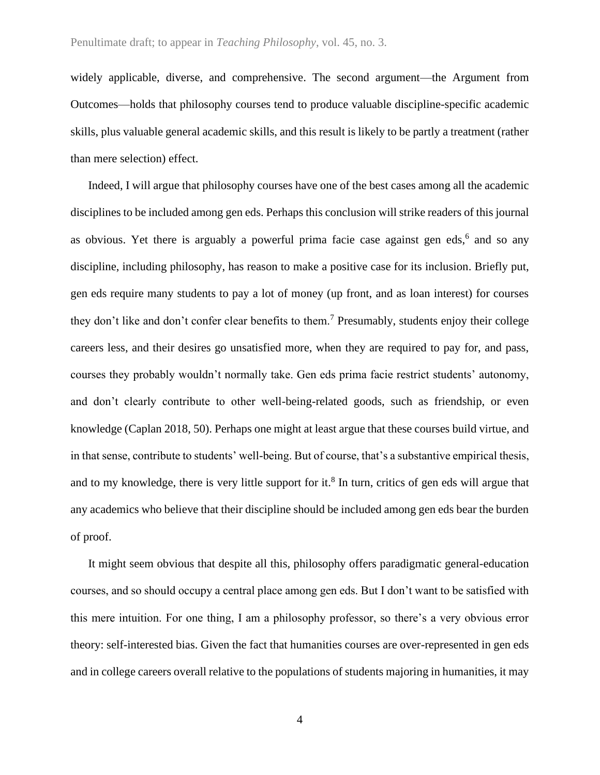widely applicable, diverse, and comprehensive. The second argument—the Argument from Outcomes—holds that philosophy courses tend to produce valuable discipline-specific academic skills, plus valuable general academic skills, and this result is likely to be partly a treatment (rather than mere selection) effect.

Indeed, I will argue that philosophy courses have one of the best cases among all the academic disciplines to be included among gen eds. Perhaps this conclusion will strike readers of this journal as obvious. Yet there is arguably a powerful prima facie case against gen eds,<sup>6</sup> and so any discipline, including philosophy, has reason to make a positive case for its inclusion. Briefly put, gen eds require many students to pay a lot of money (up front, and as loan interest) for courses they don't like and don't confer clear benefits to them.<sup>7</sup> Presumably, students enjoy their college careers less, and their desires go unsatisfied more, when they are required to pay for, and pass, courses they probably wouldn't normally take. Gen eds prima facie restrict students' autonomy, and don't clearly contribute to other well-being-related goods, such as friendship, or even knowledge (Caplan 2018, 50). Perhaps one might at least argue that these courses build virtue, and in that sense, contribute to students' well-being. But of course, that's a substantive empirical thesis, and to my knowledge, there is very little support for it.<sup>8</sup> In turn, critics of gen eds will argue that any academics who believe that their discipline should be included among gen eds bear the burden of proof.

It might seem obvious that despite all this, philosophy offers paradigmatic general-education courses, and so should occupy a central place among gen eds. But I don't want to be satisfied with this mere intuition. For one thing, I am a philosophy professor, so there's a very obvious error theory: self-interested bias. Given the fact that humanities courses are over-represented in gen eds and in college careers overall relative to the populations of students majoring in humanities, it may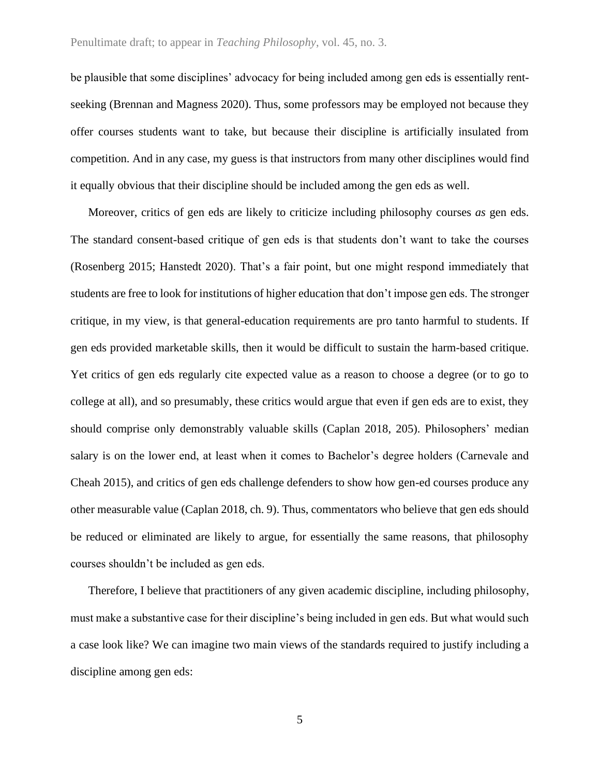#### Penultimate draft; to appear in *Teaching Philosophy*, vol. 45, no. 3.

be plausible that some disciplines' advocacy for being included among gen eds is essentially rentseeking (Brennan and Magness 2020). Thus, some professors may be employed not because they offer courses students want to take, but because their discipline is artificially insulated from competition. And in any case, my guess is that instructors from many other disciplines would find it equally obvious that their discipline should be included among the gen eds as well.

Moreover, critics of gen eds are likely to criticize including philosophy courses *as* gen eds. The standard consent-based critique of gen eds is that students don't want to take the courses (Rosenberg 2015; Hanstedt 2020). That's a fair point, but one might respond immediately that students are free to look for institutions of higher education that don't impose gen eds. The stronger critique, in my view, is that general-education requirements are pro tanto harmful to students. If gen eds provided marketable skills, then it would be difficult to sustain the harm-based critique. Yet critics of gen eds regularly cite expected value as a reason to choose a degree (or to go to college at all), and so presumably, these critics would argue that even if gen eds are to exist, they should comprise only demonstrably valuable skills (Caplan 2018, 205). Philosophers' median salary is on the lower end, at least when it comes to Bachelor's degree holders (Carnevale and Cheah 2015), and critics of gen eds challenge defenders to show how gen-ed courses produce any other measurable value (Caplan 2018, ch. 9). Thus, commentators who believe that gen eds should be reduced or eliminated are likely to argue, for essentially the same reasons, that philosophy courses shouldn't be included as gen eds.

Therefore, I believe that practitioners of any given academic discipline, including philosophy, must make a substantive case for their discipline's being included in gen eds. But what would such a case look like? We can imagine two main views of the standards required to justify including a discipline among gen eds: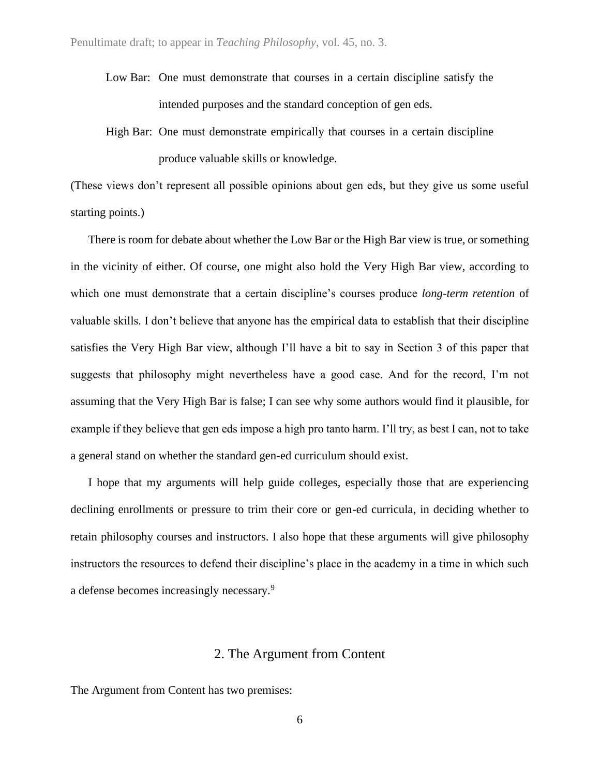- Low Bar: One must demonstrate that courses in a certain discipline satisfy the intended purposes and the standard conception of gen eds.
- High Bar: One must demonstrate empirically that courses in a certain discipline produce valuable skills or knowledge.

(These views don't represent all possible opinions about gen eds, but they give us some useful starting points.)

There is room for debate about whether the Low Bar or the High Bar view is true, or something in the vicinity of either. Of course, one might also hold the Very High Bar view, according to which one must demonstrate that a certain discipline's courses produce *long-term retention* of valuable skills. I don't believe that anyone has the empirical data to establish that their discipline satisfies the Very High Bar view, although I'll have a bit to say in Section 3 of this paper that suggests that philosophy might nevertheless have a good case. And for the record, I'm not assuming that the Very High Bar is false; I can see why some authors would find it plausible, for example if they believe that gen eds impose a high pro tanto harm. I'll try, as best I can, not to take a general stand on whether the standard gen-ed curriculum should exist.

I hope that my arguments will help guide colleges, especially those that are experiencing declining enrollments or pressure to trim their core or gen-ed curricula, in deciding whether to retain philosophy courses and instructors. I also hope that these arguments will give philosophy instructors the resources to defend their discipline's place in the academy in a time in which such a defense becomes increasingly necessary.<sup>9</sup>

# 2. The Argument from Content

The Argument from Content has two premises: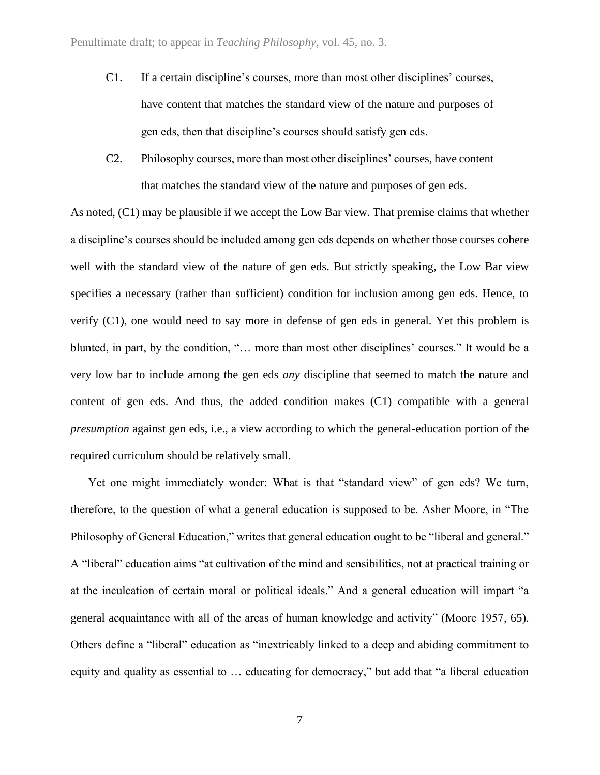- C1. If a certain discipline's courses, more than most other disciplines' courses, have content that matches the standard view of the nature and purposes of gen eds, then that discipline's courses should satisfy gen eds.
- C2. Philosophy courses, more than most other disciplines' courses, have content that matches the standard view of the nature and purposes of gen eds.

As noted, (C1) may be plausible if we accept the Low Bar view. That premise claims that whether a discipline's courses should be included among gen eds depends on whether those courses cohere well with the standard view of the nature of gen eds. But strictly speaking, the Low Bar view specifies a necessary (rather than sufficient) condition for inclusion among gen eds. Hence, to verify (C1), one would need to say more in defense of gen eds in general. Yet this problem is blunted, in part, by the condition, "… more than most other disciplines' courses." It would be a very low bar to include among the gen eds *any* discipline that seemed to match the nature and content of gen eds. And thus, the added condition makes (C1) compatible with a general *presumption* against gen eds, i.e., a view according to which the general-education portion of the required curriculum should be relatively small.

Yet one might immediately wonder: What is that "standard view" of gen eds? We turn, therefore, to the question of what a general education is supposed to be. Asher Moore, in "The Philosophy of General Education," writes that general education ought to be "liberal and general." A "liberal" education aims "at cultivation of the mind and sensibilities, not at practical training or at the inculcation of certain moral or political ideals." And a general education will impart "a general acquaintance with all of the areas of human knowledge and activity" (Moore 1957, 65). Others define a "liberal" education as "inextricably linked to a deep and abiding commitment to equity and quality as essential to … educating for democracy," but add that "a liberal education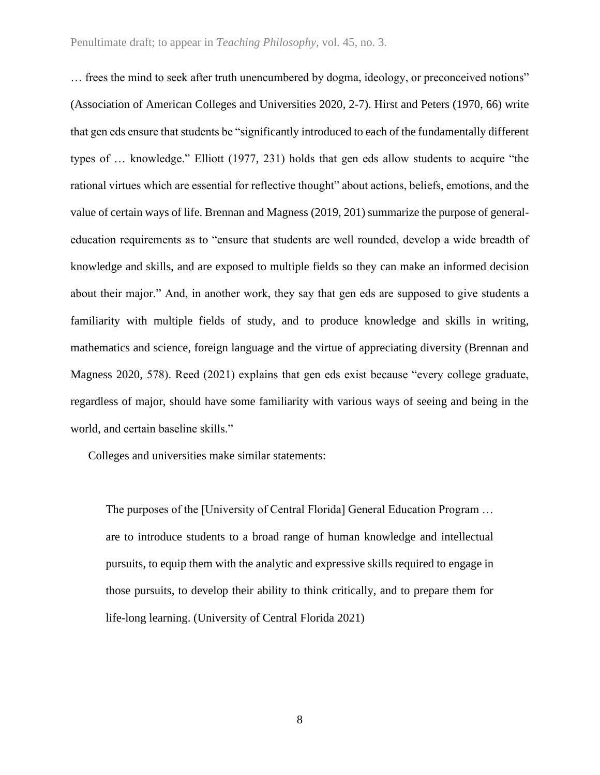… frees the mind to seek after truth unencumbered by dogma, ideology, or preconceived notions" (Association of American Colleges and Universities 2020, 2-7). Hirst and Peters (1970, 66) write that gen eds ensure that students be "significantly introduced to each of the fundamentally different types of … knowledge." Elliott (1977, 231) holds that gen eds allow students to acquire "the rational virtues which are essential for reflective thought" about actions, beliefs, emotions, and the value of certain ways of life. Brennan and Magness (2019, 201) summarize the purpose of generaleducation requirements as to "ensure that students are well rounded, develop a wide breadth of knowledge and skills, and are exposed to multiple fields so they can make an informed decision about their major." And, in another work, they say that gen eds are supposed to give students a familiarity with multiple fields of study, and to produce knowledge and skills in writing, mathematics and science, foreign language and the virtue of appreciating diversity (Brennan and Magness 2020, 578). Reed (2021) explains that gen eds exist because "every college graduate, regardless of major, should have some familiarity with various ways of seeing and being in the world, and certain baseline skills."

Colleges and universities make similar statements:

The purposes of the [University of Central Florida] General Education Program … are to introduce students to a broad range of human knowledge and intellectual pursuits, to equip them with the analytic and expressive skills required to engage in those pursuits, to develop their ability to think critically, and to prepare them for life-long learning. (University of Central Florida 2021)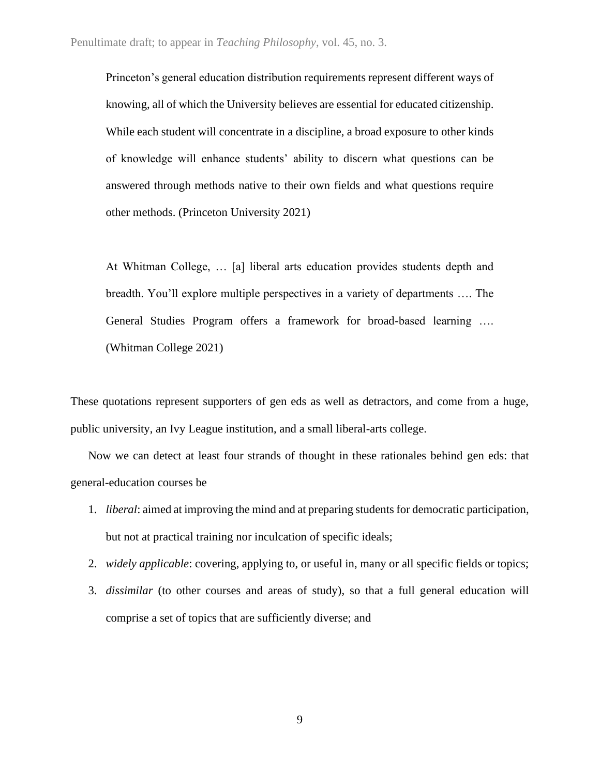Princeton's general education distribution requirements represent different ways of knowing, all of which the University believes are essential for educated citizenship. While each student will concentrate in a discipline, a broad exposure to other kinds of knowledge will enhance students' ability to discern what questions can be answered through methods native to their own fields and what questions require other methods. (Princeton University 2021)

At Whitman College, … [a] liberal arts education provides students depth and breadth. You'll explore multiple perspectives in a variety of departments …. The General Studies Program offers a framework for broad-based learning …. (Whitman College 2021)

These quotations represent supporters of gen eds as well as detractors, and come from a huge, public university, an Ivy League institution, and a small liberal-arts college.

Now we can detect at least four strands of thought in these rationales behind gen eds: that general-education courses be

- 1. *liberal*: aimed at improving the mind and at preparing students for democratic participation, but not at practical training nor inculcation of specific ideals;
- 2. *widely applicable*: covering, applying to, or useful in, many or all specific fields or topics;
- 3. *dissimilar* (to other courses and areas of study), so that a full general education will comprise a set of topics that are sufficiently diverse; and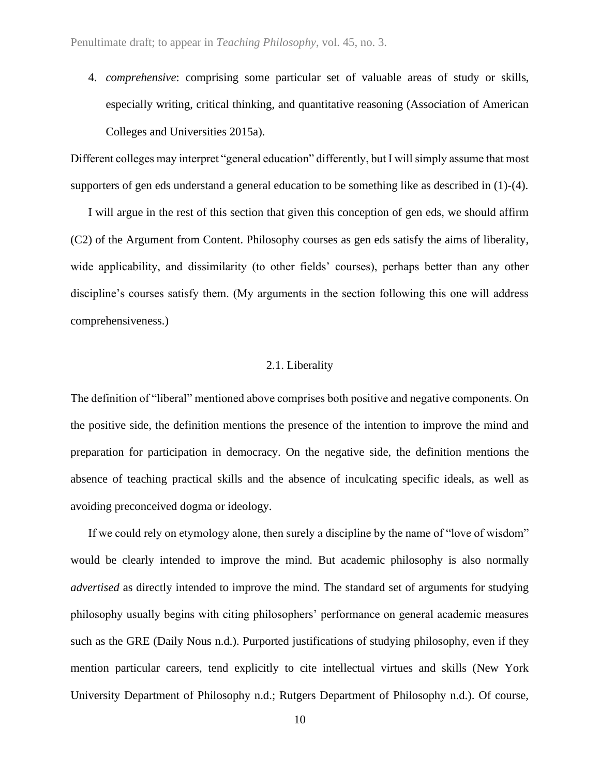4. *comprehensive*: comprising some particular set of valuable areas of study or skills, especially writing, critical thinking, and quantitative reasoning (Association of American Colleges and Universities 2015a).

Different colleges may interpret "general education" differently, but I will simply assume that most supporters of gen eds understand a general education to be something like as described in (1)-(4).

I will argue in the rest of this section that given this conception of gen eds, we should affirm (C2) of the Argument from Content. Philosophy courses as gen eds satisfy the aims of liberality, wide applicability, and dissimilarity (to other fields' courses), perhaps better than any other discipline's courses satisfy them. (My arguments in the section following this one will address comprehensiveness.)

#### 2.1. Liberality

The definition of "liberal" mentioned above comprises both positive and negative components. On the positive side, the definition mentions the presence of the intention to improve the mind and preparation for participation in democracy. On the negative side, the definition mentions the absence of teaching practical skills and the absence of inculcating specific ideals, as well as avoiding preconceived dogma or ideology.

If we could rely on etymology alone, then surely a discipline by the name of "love of wisdom" would be clearly intended to improve the mind. But academic philosophy is also normally *advertised* as directly intended to improve the mind. The standard set of arguments for studying philosophy usually begins with citing philosophers' performance on general academic measures such as the GRE (Daily Nous n.d.). Purported justifications of studying philosophy, even if they mention particular careers, tend explicitly to cite intellectual virtues and skills (New York University Department of Philosophy n.d.; Rutgers Department of Philosophy n.d.). Of course,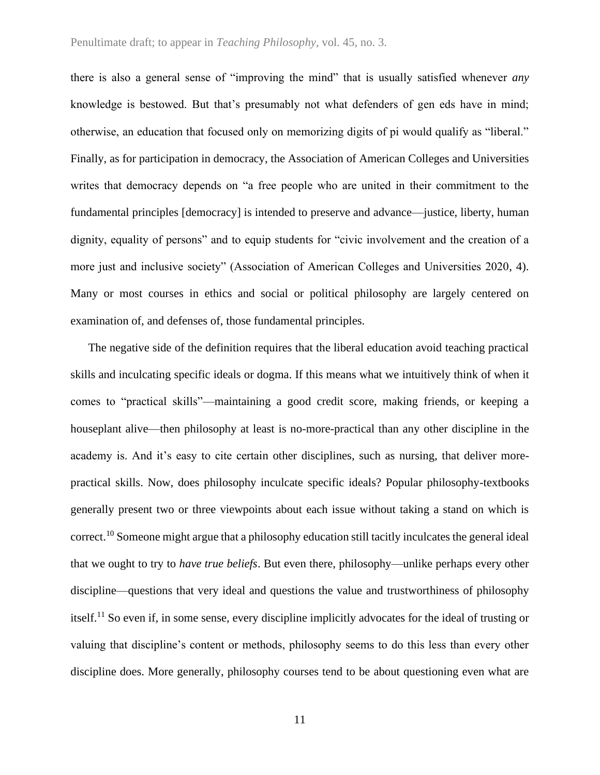there is also a general sense of "improving the mind" that is usually satisfied whenever *any* knowledge is bestowed. But that's presumably not what defenders of gen eds have in mind; otherwise, an education that focused only on memorizing digits of pi would qualify as "liberal." Finally, as for participation in democracy, the Association of American Colleges and Universities writes that democracy depends on "a free people who are united in their commitment to the fundamental principles [democracy] is intended to preserve and advance—justice, liberty, human dignity, equality of persons" and to equip students for "civic involvement and the creation of a more just and inclusive society" (Association of American Colleges and Universities 2020, 4). Many or most courses in ethics and social or political philosophy are largely centered on examination of, and defenses of, those fundamental principles.

The negative side of the definition requires that the liberal education avoid teaching practical skills and inculcating specific ideals or dogma. If this means what we intuitively think of when it comes to "practical skills"—maintaining a good credit score, making friends, or keeping a houseplant alive—then philosophy at least is no-more-practical than any other discipline in the academy is. And it's easy to cite certain other disciplines, such as nursing, that deliver morepractical skills. Now, does philosophy inculcate specific ideals? Popular philosophy-textbooks generally present two or three viewpoints about each issue without taking a stand on which is correct.<sup>10</sup> Someone might argue that a philosophy education still tacitly inculcates the general ideal that we ought to try to *have true beliefs*. But even there, philosophy—unlike perhaps every other discipline—questions that very ideal and questions the value and trustworthiness of philosophy itself.<sup>11</sup> So even if, in some sense, every discipline implicitly advocates for the ideal of trusting or valuing that discipline's content or methods, philosophy seems to do this less than every other discipline does. More generally, philosophy courses tend to be about questioning even what are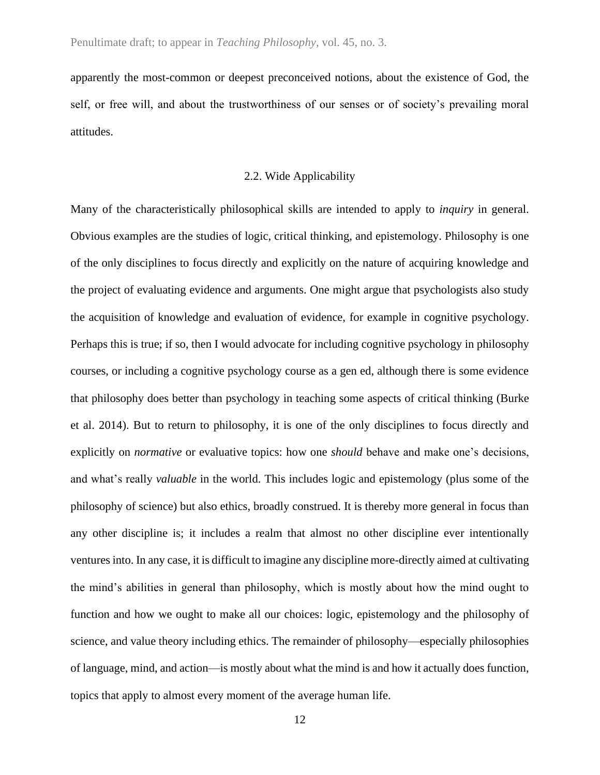apparently the most-common or deepest preconceived notions, about the existence of God, the self, or free will, and about the trustworthiness of our senses or of society's prevailing moral attitudes.

## 2.2. Wide Applicability

Many of the characteristically philosophical skills are intended to apply to *inquiry* in general. Obvious examples are the studies of logic, critical thinking, and epistemology. Philosophy is one of the only disciplines to focus directly and explicitly on the nature of acquiring knowledge and the project of evaluating evidence and arguments. One might argue that psychologists also study the acquisition of knowledge and evaluation of evidence, for example in cognitive psychology. Perhaps this is true; if so, then I would advocate for including cognitive psychology in philosophy courses, or including a cognitive psychology course as a gen ed, although there is some evidence that philosophy does better than psychology in teaching some aspects of critical thinking (Burke et al. 2014). But to return to philosophy, it is one of the only disciplines to focus directly and explicitly on *normative* or evaluative topics: how one *should* behave and make one's decisions, and what's really *valuable* in the world. This includes logic and epistemology (plus some of the philosophy of science) but also ethics, broadly construed. It is thereby more general in focus than any other discipline is; it includes a realm that almost no other discipline ever intentionally ventures into. In any case, it is difficult to imagine any discipline more-directly aimed at cultivating the mind's abilities in general than philosophy, which is mostly about how the mind ought to function and how we ought to make all our choices: logic, epistemology and the philosophy of science, and value theory including ethics. The remainder of philosophy—especially philosophies of language, mind, and action—is mostly about what the mind is and how it actually does function, topics that apply to almost every moment of the average human life.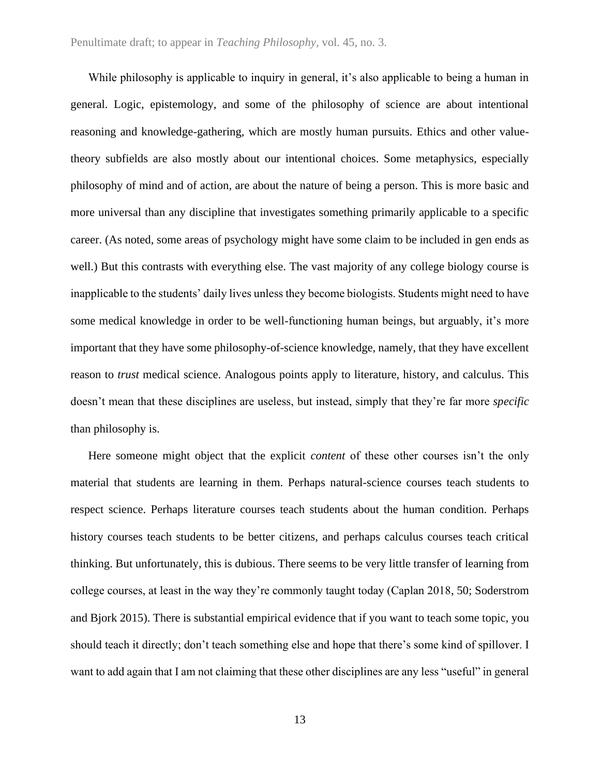While philosophy is applicable to inquiry in general, it's also applicable to being a human in general. Logic, epistemology, and some of the philosophy of science are about intentional reasoning and knowledge-gathering, which are mostly human pursuits. Ethics and other valuetheory subfields are also mostly about our intentional choices. Some metaphysics, especially philosophy of mind and of action, are about the nature of being a person. This is more basic and more universal than any discipline that investigates something primarily applicable to a specific career. (As noted, some areas of psychology might have some claim to be included in gen ends as well.) But this contrasts with everything else. The vast majority of any college biology course is inapplicable to the students' daily lives unless they become biologists. Students might need to have some medical knowledge in order to be well-functioning human beings, but arguably, it's more important that they have some philosophy-of-science knowledge, namely, that they have excellent reason to *trust* medical science. Analogous points apply to literature, history, and calculus. This doesn't mean that these disciplines are useless, but instead, simply that they're far more *specific* than philosophy is.

Here someone might object that the explicit *content* of these other courses isn't the only material that students are learning in them. Perhaps natural-science courses teach students to respect science. Perhaps literature courses teach students about the human condition. Perhaps history courses teach students to be better citizens, and perhaps calculus courses teach critical thinking. But unfortunately, this is dubious. There seems to be very little transfer of learning from college courses, at least in the way they're commonly taught today (Caplan 2018, 50; Soderstrom and Bjork 2015). There is substantial empirical evidence that if you want to teach some topic, you should teach it directly; don't teach something else and hope that there's some kind of spillover. I want to add again that I am not claiming that these other disciplines are any less "useful" in general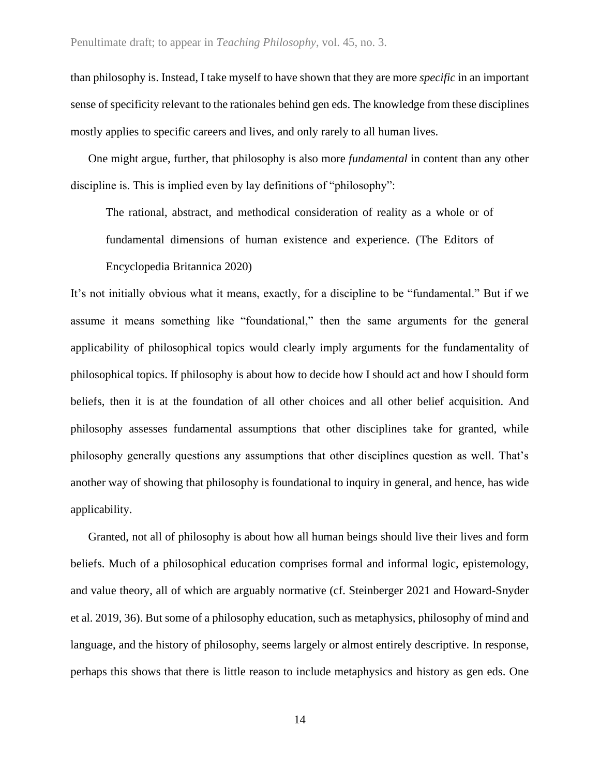than philosophy is. Instead, I take myself to have shown that they are more *specific* in an important sense of specificity relevant to the rationales behind gen eds. The knowledge from these disciplines mostly applies to specific careers and lives, and only rarely to all human lives.

One might argue, further, that philosophy is also more *fundamental* in content than any other discipline is. This is implied even by lay definitions of "philosophy":

The rational, abstract, and methodical consideration of reality as a whole or of fundamental dimensions of human existence and experience. (The Editors of

Encyclopedia Britannica 2020)

It's not initially obvious what it means, exactly, for a discipline to be "fundamental." But if we assume it means something like "foundational," then the same arguments for the general applicability of philosophical topics would clearly imply arguments for the fundamentality of philosophical topics. If philosophy is about how to decide how I should act and how I should form beliefs, then it is at the foundation of all other choices and all other belief acquisition. And philosophy assesses fundamental assumptions that other disciplines take for granted, while philosophy generally questions any assumptions that other disciplines question as well. That's another way of showing that philosophy is foundational to inquiry in general, and hence, has wide applicability.

Granted, not all of philosophy is about how all human beings should live their lives and form beliefs. Much of a philosophical education comprises formal and informal logic, epistemology, and value theory, all of which are arguably normative (cf. Steinberger 2021 and Howard-Snyder et al. 2019, 36). But some of a philosophy education, such as metaphysics, philosophy of mind and language, and the history of philosophy, seems largely or almost entirely descriptive. In response, perhaps this shows that there is little reason to include metaphysics and history as gen eds. One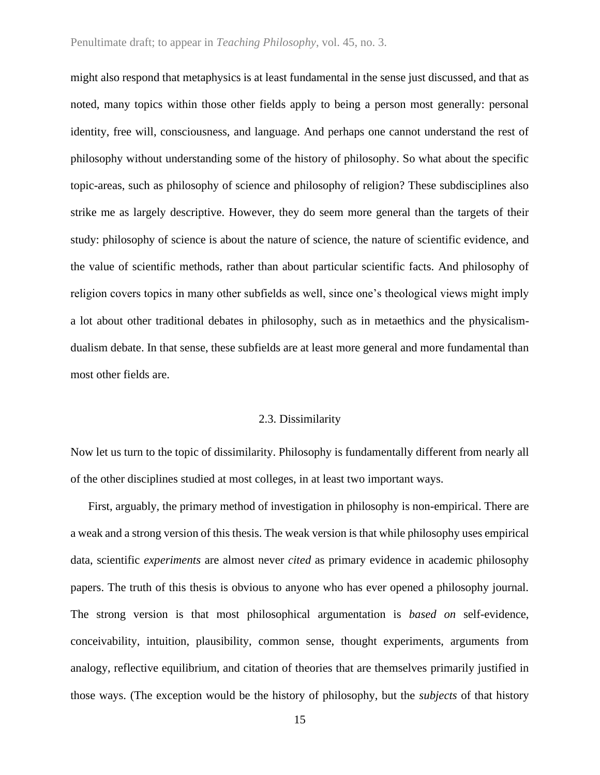#### Penultimate draft; to appear in *Teaching Philosophy*, vol. 45, no. 3.

might also respond that metaphysics is at least fundamental in the sense just discussed, and that as noted, many topics within those other fields apply to being a person most generally: personal identity, free will, consciousness, and language. And perhaps one cannot understand the rest of philosophy without understanding some of the history of philosophy. So what about the specific topic-areas, such as philosophy of science and philosophy of religion? These subdisciplines also strike me as largely descriptive. However, they do seem more general than the targets of their study: philosophy of science is about the nature of science, the nature of scientific evidence, and the value of scientific methods, rather than about particular scientific facts. And philosophy of religion covers topics in many other subfields as well, since one's theological views might imply a lot about other traditional debates in philosophy, such as in metaethics and the physicalismdualism debate. In that sense, these subfields are at least more general and more fundamental than most other fields are.

#### 2.3. Dissimilarity

Now let us turn to the topic of dissimilarity. Philosophy is fundamentally different from nearly all of the other disciplines studied at most colleges, in at least two important ways.

First, arguably, the primary method of investigation in philosophy is non*-*empirical. There are a weak and a strong version of this thesis. The weak version is that while philosophy uses empirical data, scientific *experiments* are almost never *cited* as primary evidence in academic philosophy papers. The truth of this thesis is obvious to anyone who has ever opened a philosophy journal. The strong version is that most philosophical argumentation is *based on* self-evidence, conceivability, intuition, plausibility, common sense, thought experiments, arguments from analogy, reflective equilibrium, and citation of theories that are themselves primarily justified in those ways. (The exception would be the history of philosophy, but the *subjects* of that history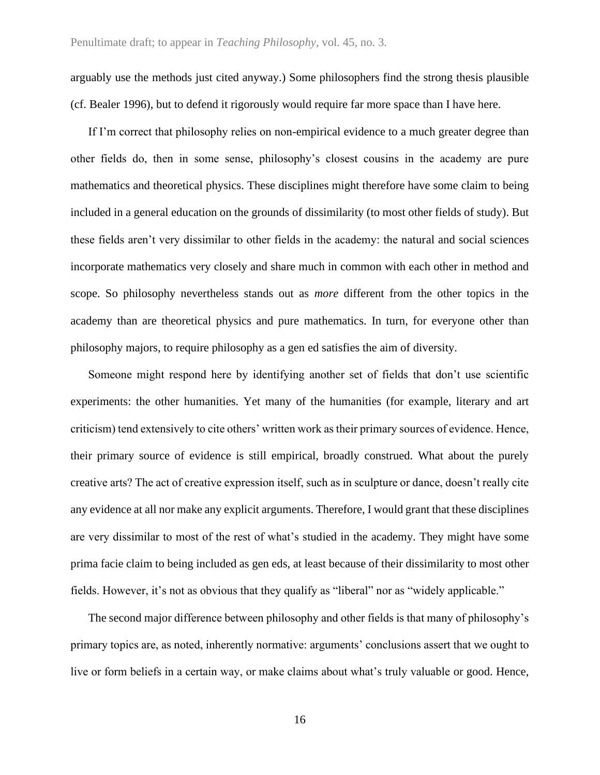arguably use the methods just cited anyway.) Some philosophers find the strong thesis plausible (cf. Bealer 1996), but to defend it rigorously would require far more space than I have here.

If I'm correct that philosophy relies on non-empirical evidence to a much greater degree than other fields do, then in some sense, philosophy's closest cousins in the academy are pure mathematics and theoretical physics. These disciplines might therefore have some claim to being included in a general education on the grounds of dissimilarity (to most other fields of study). But these fields aren't very dissimilar to other fields in the academy: the natural and social sciences incorporate mathematics very closely and share much in common with each other in method and scope. So philosophy nevertheless stands out as *more* different from the other topics in the academy than are theoretical physics and pure mathematics. In turn, for everyone other than philosophy majors, to require philosophy as a gen ed satisfies the aim of diversity.

Someone might respond here by identifying another set of fields that don't use scientific experiments: the other humanities. Yet many of the humanities (for example, literary and art criticism) tend extensively to cite others' written work as their primary sources of evidence. Hence, their primary source of evidence is still empirical, broadly construed. What about the purely creative arts? The act of creative expression itself, such as in sculpture or dance, doesn't really cite any evidence at all nor make any explicit arguments. Therefore, I would grant that these disciplines are very dissimilar to most of the rest of what's studied in the academy. They might have some prima facie claim to being included as gen eds, at least because of their dissimilarity to most other fields. However, it's not as obvious that they qualify as "liberal" nor as "widely applicable."

The second major difference between philosophy and other fields is that many of philosophy's primary topics are, as noted, inherently normative: arguments' conclusions assert that we ought to live or form beliefs in a certain way, or make claims about what's truly valuable or good. Hence,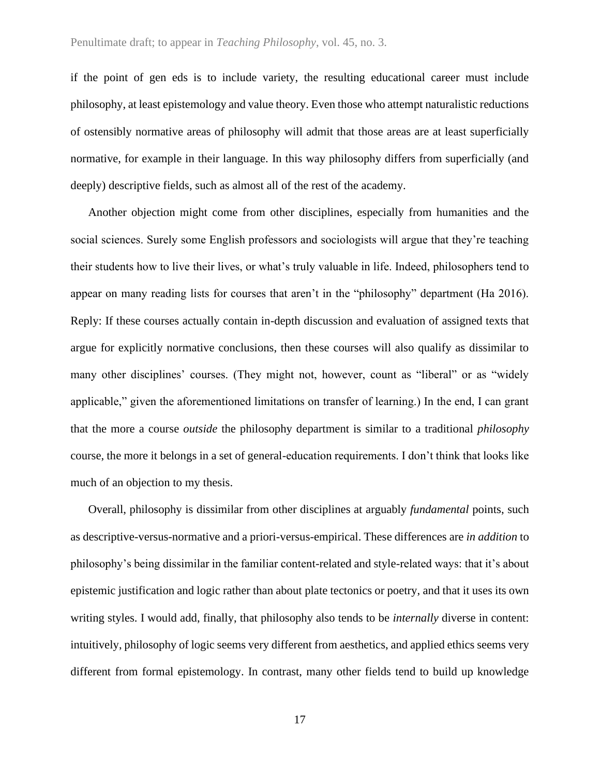if the point of gen eds is to include variety, the resulting educational career must include philosophy, at least epistemology and value theory. Even those who attempt naturalistic reductions of ostensibly normative areas of philosophy will admit that those areas are at least superficially normative, for example in their language. In this way philosophy differs from superficially (and deeply) descriptive fields, such as almost all of the rest of the academy.

Another objection might come from other disciplines, especially from humanities and the social sciences. Surely some English professors and sociologists will argue that they're teaching their students how to live their lives, or what's truly valuable in life. Indeed, philosophers tend to appear on many reading lists for courses that aren't in the "philosophy" department (Ha 2016). Reply: If these courses actually contain in-depth discussion and evaluation of assigned texts that argue for explicitly normative conclusions, then these courses will also qualify as dissimilar to many other disciplines' courses. (They might not, however, count as "liberal" or as "widely applicable," given the aforementioned limitations on transfer of learning.) In the end, I can grant that the more a course *outside* the philosophy department is similar to a traditional *philosophy* course, the more it belongs in a set of general-education requirements. I don't think that looks like much of an objection to my thesis.

Overall, philosophy is dissimilar from other disciplines at arguably *fundamental* points, such as descriptive-versus-normative and a priori-versus-empirical. These differences are *in addition* to philosophy's being dissimilar in the familiar content-related and style-related ways: that it's about epistemic justification and logic rather than about plate tectonics or poetry, and that it uses its own writing styles. I would add, finally, that philosophy also tends to be *internally* diverse in content: intuitively, philosophy of logic seems very different from aesthetics, and applied ethics seems very different from formal epistemology. In contrast, many other fields tend to build up knowledge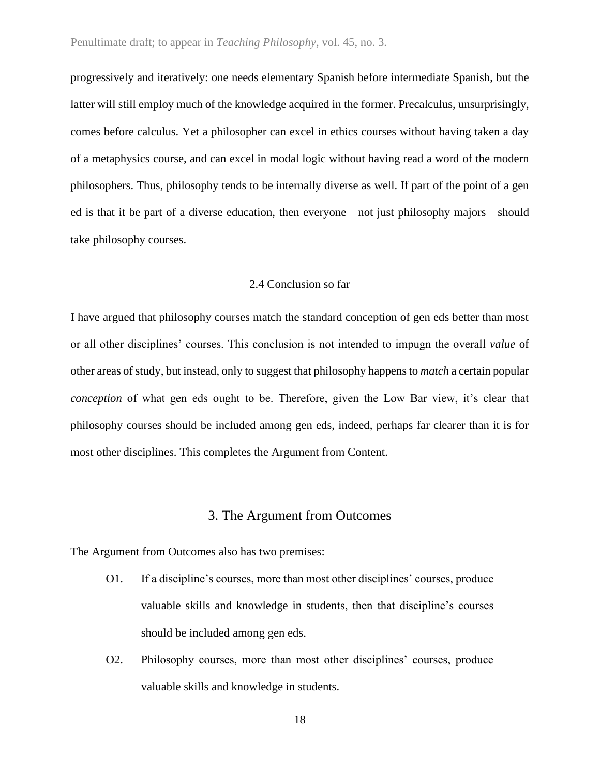progressively and iteratively: one needs elementary Spanish before intermediate Spanish, but the latter will still employ much of the knowledge acquired in the former. Precalculus, unsurprisingly, comes before calculus. Yet a philosopher can excel in ethics courses without having taken a day of a metaphysics course, and can excel in modal logic without having read a word of the modern philosophers. Thus, philosophy tends to be internally diverse as well. If part of the point of a gen ed is that it be part of a diverse education, then everyone—not just philosophy majors—should take philosophy courses.

#### 2.4 Conclusion so far

I have argued that philosophy courses match the standard conception of gen eds better than most or all other disciplines' courses. This conclusion is not intended to impugn the overall *value* of other areas of study, but instead, only to suggest that philosophy happens to *match* a certain popular *conception* of what gen eds ought to be. Therefore, given the Low Bar view, it's clear that philosophy courses should be included among gen eds, indeed, perhaps far clearer than it is for most other disciplines. This completes the Argument from Content.

#### 3. The Argument from Outcomes

The Argument from Outcomes also has two premises:

- O1. If a discipline's courses, more than most other disciplines' courses, produce valuable skills and knowledge in students, then that discipline's courses should be included among gen eds.
- O2. Philosophy courses, more than most other disciplines' courses, produce valuable skills and knowledge in students.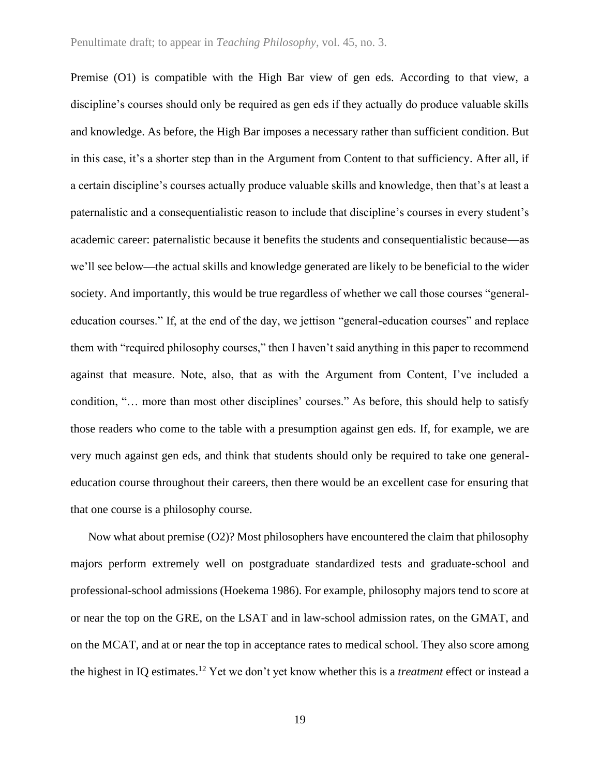Premise (O1) is compatible with the High Bar view of gen eds. According to that view, a discipline's courses should only be required as gen eds if they actually do produce valuable skills and knowledge. As before, the High Bar imposes a necessary rather than sufficient condition. But in this case, it's a shorter step than in the Argument from Content to that sufficiency. After all, if a certain discipline's courses actually produce valuable skills and knowledge, then that's at least a paternalistic and a consequentialistic reason to include that discipline's courses in every student's academic career: paternalistic because it benefits the students and consequentialistic because—as we'll see below—the actual skills and knowledge generated are likely to be beneficial to the wider society. And importantly, this would be true regardless of whether we call those courses "generaleducation courses." If, at the end of the day, we jettison "general-education courses" and replace them with "required philosophy courses," then I haven't said anything in this paper to recommend against that measure. Note, also, that as with the Argument from Content, I've included a condition, "… more than most other disciplines' courses." As before, this should help to satisfy those readers who come to the table with a presumption against gen eds. If, for example, we are very much against gen eds, and think that students should only be required to take one generaleducation course throughout their careers, then there would be an excellent case for ensuring that that one course is a philosophy course.

Now what about premise (O2)? Most philosophers have encountered the claim that philosophy majors perform extremely well on postgraduate standardized tests and graduate-school and professional-school admissions (Hoekema 1986). For example, philosophy majors tend to score at or near the top on the GRE, on the LSAT and in law-school admission rates, on the GMAT, and on the MCAT, and at or near the top in acceptance rates to medical school. They also score among the highest in IQ estimates.<sup>12</sup> Yet we don't yet know whether this is a *treatment* effect or instead a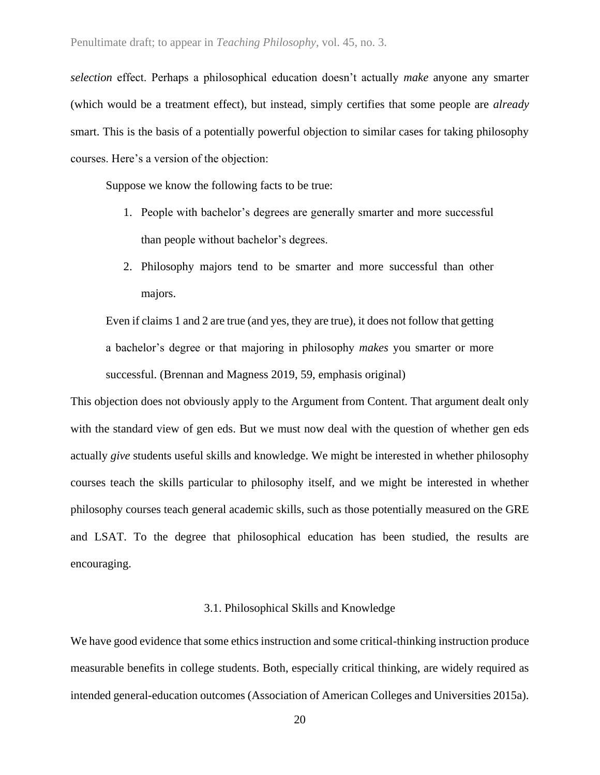*selection* effect. Perhaps a philosophical education doesn't actually *make* anyone any smarter (which would be a treatment effect), but instead, simply certifies that some people are *already* smart. This is the basis of a potentially powerful objection to similar cases for taking philosophy courses. Here's a version of the objection:

Suppose we know the following facts to be true:

- 1. People with bachelor's degrees are generally smarter and more successful than people without bachelor's degrees.
- 2. Philosophy majors tend to be smarter and more successful than other majors.

Even if claims 1 and 2 are true (and yes, they are true), it does not follow that getting a bachelor's degree or that majoring in philosophy *makes* you smarter or more successful. (Brennan and Magness 2019, 59, emphasis original)

This objection does not obviously apply to the Argument from Content. That argument dealt only with the standard view of gen eds. But we must now deal with the question of whether gen eds actually *give* students useful skills and knowledge. We might be interested in whether philosophy courses teach the skills particular to philosophy itself, and we might be interested in whether philosophy courses teach general academic skills, such as those potentially measured on the GRE and LSAT. To the degree that philosophical education has been studied, the results are encouraging.

### 3.1. Philosophical Skills and Knowledge

We have good evidence that some ethics instruction and some critical-thinking instruction produce measurable benefits in college students. Both, especially critical thinking, are widely required as intended general-education outcomes (Association of American Colleges and Universities 2015a).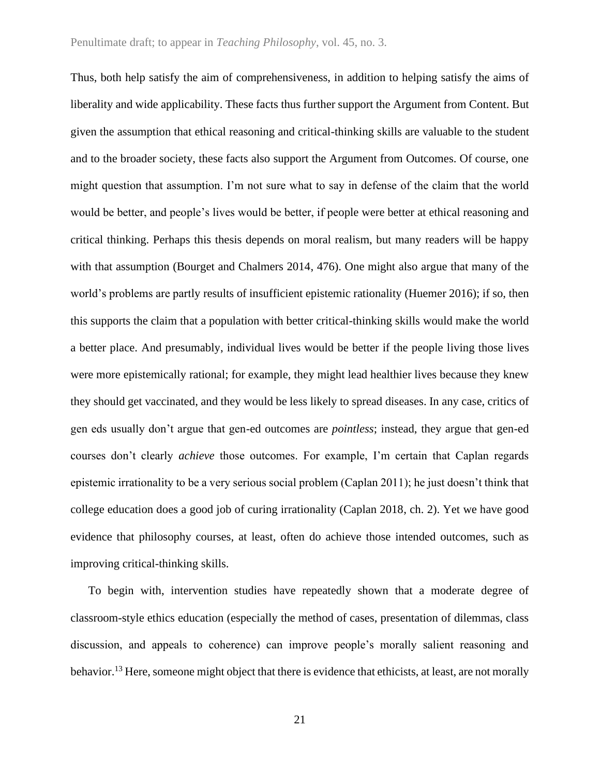Thus, both help satisfy the aim of comprehensiveness, in addition to helping satisfy the aims of liberality and wide applicability. These facts thus further support the Argument from Content. But given the assumption that ethical reasoning and critical-thinking skills are valuable to the student and to the broader society, these facts also support the Argument from Outcomes. Of course, one might question that assumption. I'm not sure what to say in defense of the claim that the world would be better, and people's lives would be better, if people were better at ethical reasoning and critical thinking. Perhaps this thesis depends on moral realism, but many readers will be happy with that assumption (Bourget and Chalmers 2014, 476). One might also argue that many of the world's problems are partly results of insufficient epistemic rationality (Huemer 2016); if so, then this supports the claim that a population with better critical-thinking skills would make the world a better place. And presumably, individual lives would be better if the people living those lives were more epistemically rational; for example, they might lead healthier lives because they knew they should get vaccinated, and they would be less likely to spread diseases. In any case, critics of gen eds usually don't argue that gen-ed outcomes are *pointless*; instead, they argue that gen-ed courses don't clearly *achieve* those outcomes. For example, I'm certain that Caplan regards epistemic irrationality to be a very serious social problem (Caplan 2011); he just doesn't think that college education does a good job of curing irrationality (Caplan 2018, ch. 2). Yet we have good evidence that philosophy courses, at least, often do achieve those intended outcomes, such as improving critical-thinking skills.

To begin with, intervention studies have repeatedly shown that a moderate degree of classroom-style ethics education (especially the method of cases, presentation of dilemmas, class discussion, and appeals to coherence) can improve people's morally salient reasoning and behavior.<sup>13</sup> Here, someone might object that there is evidence that ethicists, at least, are not morally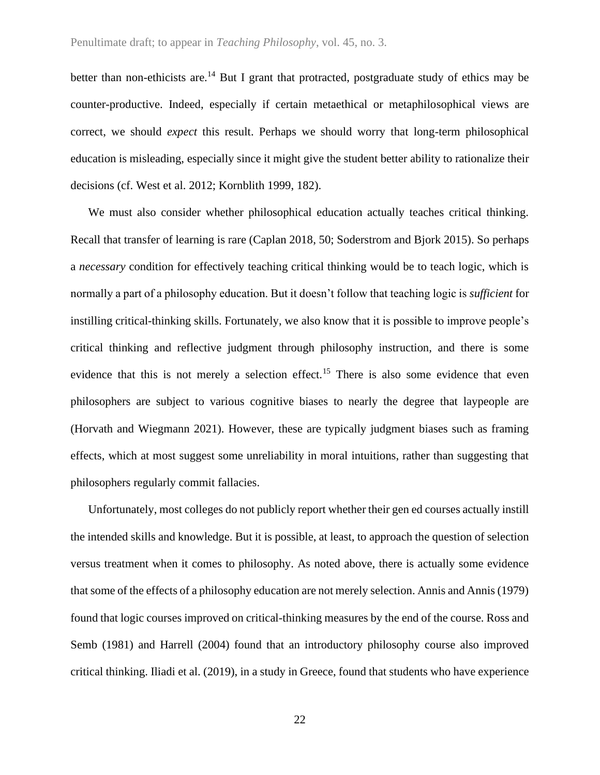better than non-ethicists are.<sup>14</sup> But I grant that protracted, postgraduate study of ethics may be counter-productive. Indeed, especially if certain metaethical or metaphilosophical views are correct, we should *expect* this result. Perhaps we should worry that long-term philosophical education is misleading, especially since it might give the student better ability to rationalize their decisions (cf. West et al. 2012; Kornblith 1999, 182).

We must also consider whether philosophical education actually teaches critical thinking. Recall that transfer of learning is rare (Caplan 2018, 50; Soderstrom and Bjork 2015). So perhaps a *necessary* condition for effectively teaching critical thinking would be to teach logic, which is normally a part of a philosophy education. But it doesn't follow that teaching logic is *sufficient* for instilling critical-thinking skills. Fortunately, we also know that it is possible to improve people's critical thinking and reflective judgment through philosophy instruction, and there is some evidence that this is not merely a selection effect.<sup>15</sup> There is also some evidence that even philosophers are subject to various cognitive biases to nearly the degree that laypeople are (Horvath and Wiegmann 2021). However, these are typically judgment biases such as framing effects, which at most suggest some unreliability in moral intuitions, rather than suggesting that philosophers regularly commit fallacies.

Unfortunately, most colleges do not publicly report whether their gen ed courses actually instill the intended skills and knowledge. But it is possible, at least, to approach the question of selection versus treatment when it comes to philosophy. As noted above, there is actually some evidence that some of the effects of a philosophy education are not merely selection. Annis and Annis (1979) found that logic courses improved on critical-thinking measures by the end of the course. Ross and Semb (1981) and Harrell (2004) found that an introductory philosophy course also improved critical thinking. Iliadi et al. (2019), in a study in Greece, found that students who have experience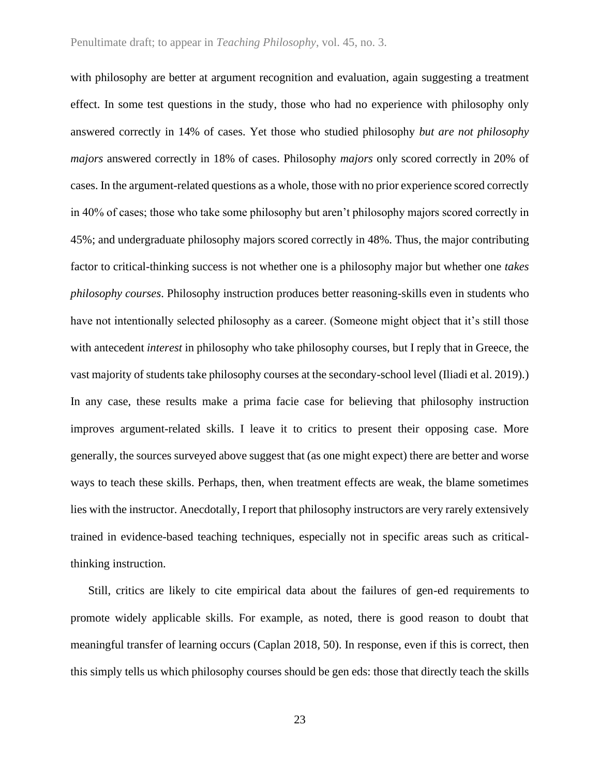with philosophy are better at argument recognition and evaluation, again suggesting a treatment effect. In some test questions in the study, those who had no experience with philosophy only answered correctly in 14% of cases. Yet those who studied philosophy *but are not philosophy majors* answered correctly in 18% of cases. Philosophy *majors* only scored correctly in 20% of cases. In the argument-related questions as a whole, those with no prior experience scored correctly in 40% of cases; those who take some philosophy but aren't philosophy majors scored correctly in 45%; and undergraduate philosophy majors scored correctly in 48%. Thus, the major contributing factor to critical-thinking success is not whether one is a philosophy major but whether one *takes philosophy courses*. Philosophy instruction produces better reasoning-skills even in students who have not intentionally selected philosophy as a career. (Someone might object that it's still those with antecedent *interest* in philosophy who take philosophy courses, but I reply that in Greece, the vast majority of students take philosophy courses at the secondary-school level (Iliadi et al. 2019).) In any case, these results make a prima facie case for believing that philosophy instruction improves argument-related skills. I leave it to critics to present their opposing case. More generally, the sources surveyed above suggest that (as one might expect) there are better and worse ways to teach these skills. Perhaps, then, when treatment effects are weak, the blame sometimes lies with the instructor. Anecdotally, I report that philosophy instructors are very rarely extensively trained in evidence-based teaching techniques, especially not in specific areas such as criticalthinking instruction.

Still, critics are likely to cite empirical data about the failures of gen-ed requirements to promote widely applicable skills. For example, as noted, there is good reason to doubt that meaningful transfer of learning occurs (Caplan 2018, 50). In response, even if this is correct, then this simply tells us which philosophy courses should be gen eds: those that directly teach the skills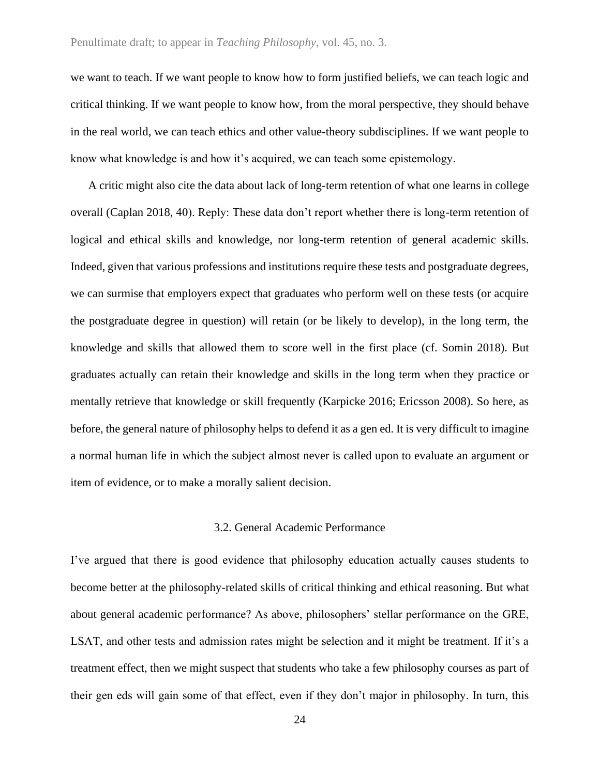we want to teach. If we want people to know how to form justified beliefs, we can teach logic and critical thinking. If we want people to know how, from the moral perspective, they should behave in the real world, we can teach ethics and other value-theory subdisciplines. If we want people to know what knowledge is and how it's acquired, we can teach some epistemology.

A critic might also cite the data about lack of long-term retention of what one learns in college overall (Caplan 2018, 40). Reply: These data don't report whether there is long-term retention of logical and ethical skills and knowledge, nor long-term retention of general academic skills. Indeed, given that various professions and institutions require these tests and postgraduate degrees, we can surmise that employers expect that graduates who perform well on these tests (or acquire the postgraduate degree in question) will retain (or be likely to develop), in the long term, the knowledge and skills that allowed them to score well in the first place (cf. Somin 2018). But graduates actually can retain their knowledge and skills in the long term when they practice or mentally retrieve that knowledge or skill frequently (Karpicke 2016; Ericsson 2008). So here, as before, the general nature of philosophy helps to defend it as a gen ed. It is very difficult to imagine a normal human life in which the subject almost never is called upon to evaluate an argument or item of evidence, or to make a morally salient decision.

#### 3.2. General Academic Performance

I've argued that there is good evidence that philosophy education actually causes students to become better at the philosophy-related skills of critical thinking and ethical reasoning. But what about general academic performance? As above, philosophers' stellar performance on the GRE, LSAT, and other tests and admission rates might be selection and it might be treatment. If it's a treatment effect, then we might suspect that students who take a few philosophy courses as part of their gen eds will gain some of that effect, even if they don't major in philosophy. In turn, this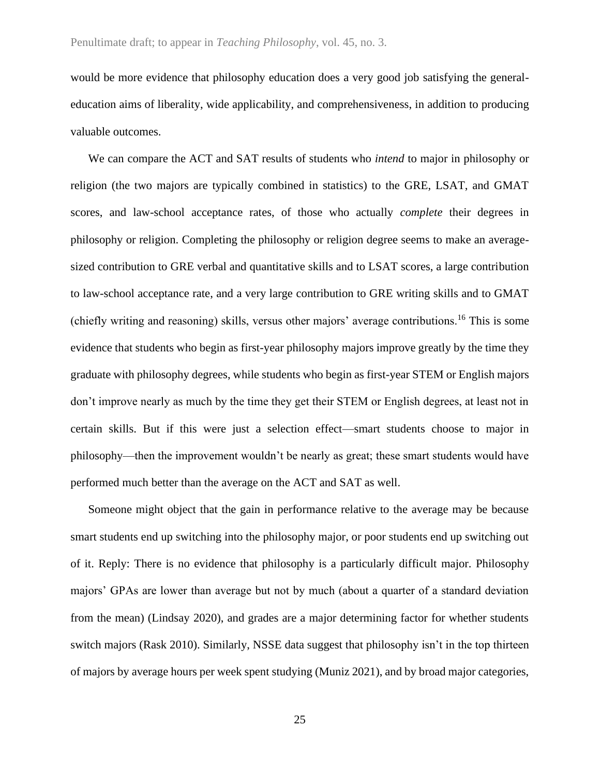would be more evidence that philosophy education does a very good job satisfying the generaleducation aims of liberality, wide applicability, and comprehensiveness, in addition to producing valuable outcomes.

We can compare the ACT and SAT results of students who *intend* to major in philosophy or religion (the two majors are typically combined in statistics) to the GRE, LSAT, and GMAT scores, and law-school acceptance rates, of those who actually *complete* their degrees in philosophy or religion. Completing the philosophy or religion degree seems to make an averagesized contribution to GRE verbal and quantitative skills and to LSAT scores, a large contribution to law-school acceptance rate, and a very large contribution to GRE writing skills and to GMAT (chiefly writing and reasoning) skills, versus other majors' average contributions.<sup>16</sup> This is some evidence that students who begin as first-year philosophy majors improve greatly by the time they graduate with philosophy degrees, while students who begin as first-year STEM or English majors don't improve nearly as much by the time they get their STEM or English degrees, at least not in certain skills. But if this were just a selection effect—smart students choose to major in philosophy—then the improvement wouldn't be nearly as great; these smart students would have performed much better than the average on the ACT and SAT as well.

Someone might object that the gain in performance relative to the average may be because smart students end up switching into the philosophy major, or poor students end up switching out of it. Reply: There is no evidence that philosophy is a particularly difficult major. Philosophy majors' GPAs are lower than average but not by much (about a quarter of a standard deviation from the mean) (Lindsay 2020), and grades are a major determining factor for whether students switch majors (Rask 2010). Similarly, NSSE data suggest that philosophy isn't in the top thirteen of majors by average hours per week spent studying (Muniz 2021), and by broad major categories,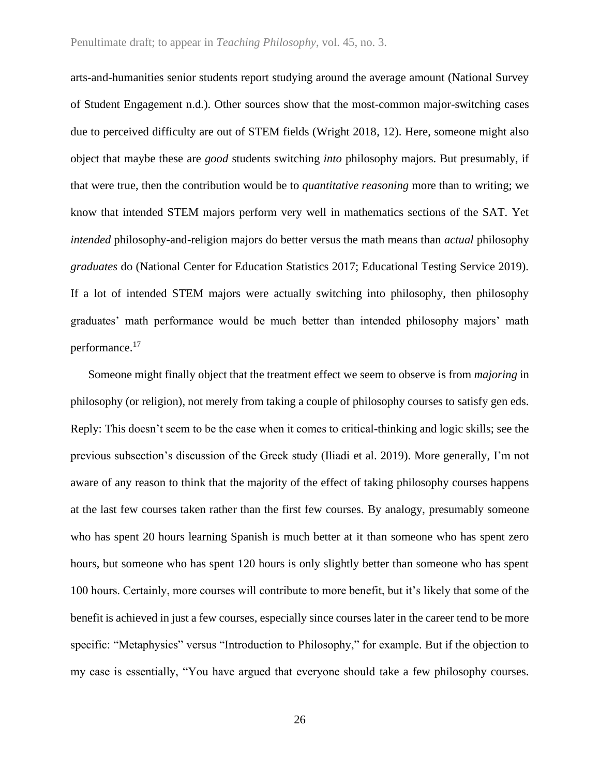arts-and-humanities senior students report studying around the average amount (National Survey of Student Engagement n.d.). Other sources show that the most-common major-switching cases due to perceived difficulty are out of STEM fields (Wright 2018, 12). Here, someone might also object that maybe these are *good* students switching *into* philosophy majors. But presumably, if that were true, then the contribution would be to *quantitative reasoning* more than to writing; we know that intended STEM majors perform very well in mathematics sections of the SAT. Yet *intended* philosophy-and-religion majors do better versus the math means than *actual* philosophy *graduates* do (National Center for Education Statistics 2017; Educational Testing Service 2019). If a lot of intended STEM majors were actually switching into philosophy, then philosophy graduates' math performance would be much better than intended philosophy majors' math performance.<sup>17</sup>

Someone might finally object that the treatment effect we seem to observe is from *majoring* in philosophy (or religion), not merely from taking a couple of philosophy courses to satisfy gen eds. Reply: This doesn't seem to be the case when it comes to critical-thinking and logic skills; see the previous subsection's discussion of the Greek study (Iliadi et al. 2019). More generally, I'm not aware of any reason to think that the majority of the effect of taking philosophy courses happens at the last few courses taken rather than the first few courses. By analogy, presumably someone who has spent 20 hours learning Spanish is much better at it than someone who has spent zero hours, but someone who has spent 120 hours is only slightly better than someone who has spent 100 hours. Certainly, more courses will contribute to more benefit, but it's likely that some of the benefit is achieved in just a few courses, especially since courses later in the career tend to be more specific: "Metaphysics" versus "Introduction to Philosophy," for example. But if the objection to my case is essentially, "You have argued that everyone should take a few philosophy courses.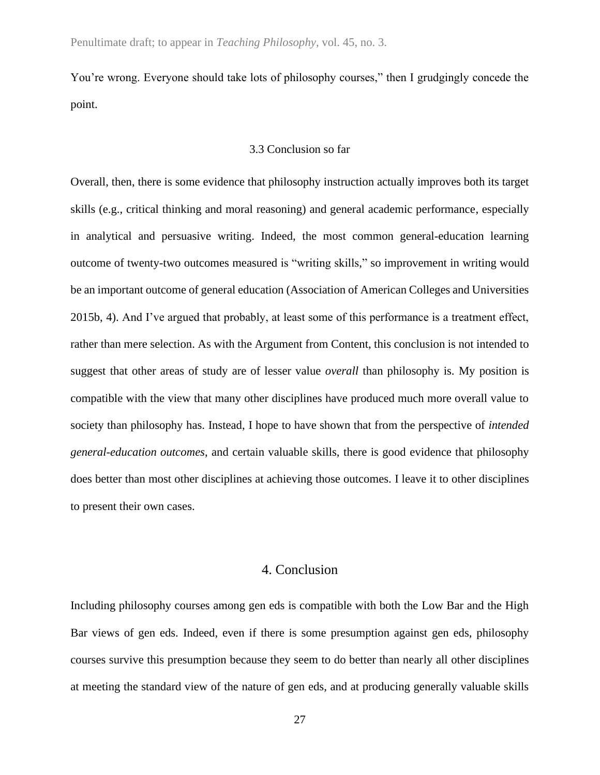You're wrong. Everyone should take lots of philosophy courses," then I grudgingly concede the point.

#### 3.3 Conclusion so far

Overall, then, there is some evidence that philosophy instruction actually improves both its target skills (e.g., critical thinking and moral reasoning) and general academic performance, especially in analytical and persuasive writing. Indeed, the most common general-education learning outcome of twenty-two outcomes measured is "writing skills," so improvement in writing would be an important outcome of general education (Association of American Colleges and Universities 2015b, 4). And I've argued that probably, at least some of this performance is a treatment effect, rather than mere selection. As with the Argument from Content, this conclusion is not intended to suggest that other areas of study are of lesser value *overall* than philosophy is. My position is compatible with the view that many other disciplines have produced much more overall value to society than philosophy has. Instead, I hope to have shown that from the perspective of *intended general-education outcomes*, and certain valuable skills, there is good evidence that philosophy does better than most other disciplines at achieving those outcomes. I leave it to other disciplines to present their own cases.

#### 4. Conclusion

Including philosophy courses among gen eds is compatible with both the Low Bar and the High Bar views of gen eds. Indeed, even if there is some presumption against gen eds, philosophy courses survive this presumption because they seem to do better than nearly all other disciplines at meeting the standard view of the nature of gen eds, and at producing generally valuable skills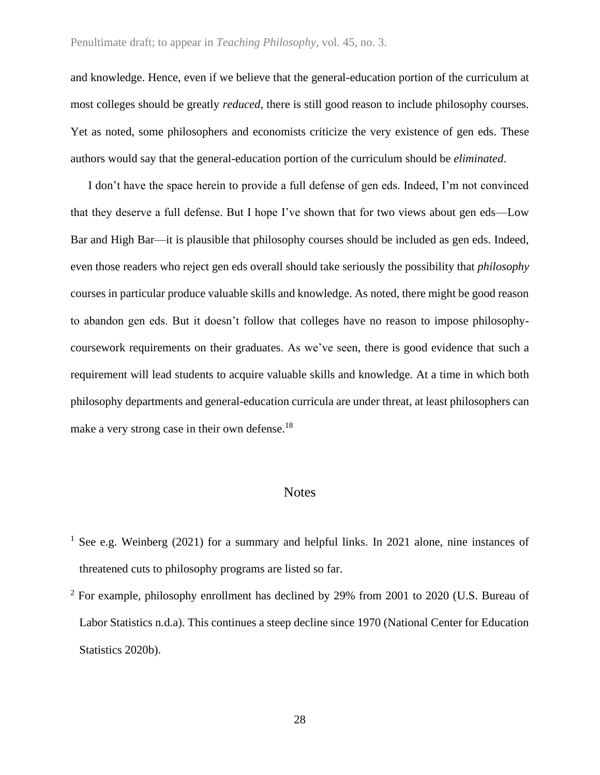#### Penultimate draft; to appear in *Teaching Philosophy*, vol. 45, no. 3.

and knowledge. Hence, even if we believe that the general-education portion of the curriculum at most colleges should be greatly *reduced*, there is still good reason to include philosophy courses. Yet as noted, some philosophers and economists criticize the very existence of gen eds. These authors would say that the general-education portion of the curriculum should be *eliminated*.

I don't have the space herein to provide a full defense of gen eds. Indeed, I'm not convinced that they deserve a full defense. But I hope I've shown that for two views about gen eds—Low Bar and High Bar—it is plausible that philosophy courses should be included as gen eds. Indeed, even those readers who reject gen eds overall should take seriously the possibility that *philosophy* courses in particular produce valuable skills and knowledge. As noted, there might be good reason to abandon gen eds. But it doesn't follow that colleges have no reason to impose philosophycoursework requirements on their graduates. As we've seen, there is good evidence that such a requirement will lead students to acquire valuable skills and knowledge. At a time in which both philosophy departments and general-education curricula are under threat, at least philosophers can make a very strong case in their own defense.<sup>18</sup>

#### **Notes**

- <sup>1</sup> See e.g. Weinberg (2021) for a summary and helpful links. In 2021 alone, nine instances of threatened cuts to philosophy programs are listed so far.
- $2$  For example, philosophy enrollment has declined by 29% from 2001 to 2020 (U.S. Bureau of Labor Statistics n.d.a). This continues a steep decline since 1970 (National Center for Education Statistics 2020b).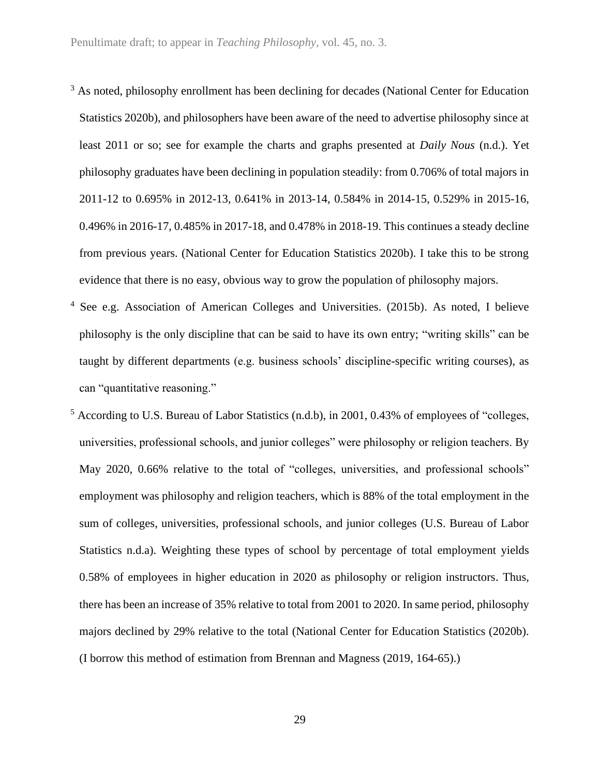- <sup>3</sup> As noted, philosophy enrollment has been declining for decades (National Center for Education Statistics 2020b), and philosophers have been aware of the need to advertise philosophy since at least 2011 or so; see for example the charts and graphs presented at *Daily Nous* (n.d.). Yet philosophy graduates have been declining in population steadily: from 0.706% of total majors in 2011-12 to 0.695% in 2012-13, 0.641% in 2013-14, 0.584% in 2014-15, 0.529% in 2015-16, 0.496% in 2016-17, 0.485% in 2017-18, and 0.478% in 2018-19. This continues a steady decline from previous years. (National Center for Education Statistics 2020b). I take this to be strong evidence that there is no easy, obvious way to grow the population of philosophy majors.
- <sup>4</sup> See e.g. Association of American Colleges and Universities. (2015b). As noted, I believe philosophy is the only discipline that can be said to have its own entry; "writing skills" can be taught by different departments (e.g. business schools' discipline-specific writing courses), as can "quantitative reasoning."
- <sup>5</sup> According to U.S. Bureau of Labor Statistics (n.d.b), in 2001, 0.43% of employees of "colleges, universities, professional schools, and junior colleges" were philosophy or religion teachers. By May 2020, 0.66% relative to the total of "colleges, universities, and professional schools" employment was philosophy and religion teachers, which is 88% of the total employment in the sum of colleges, universities, professional schools, and junior colleges (U.S. Bureau of Labor Statistics n.d.a). Weighting these types of school by percentage of total employment yields 0.58% of employees in higher education in 2020 as philosophy or religion instructors. Thus, there has been an increase of 35% relative to total from 2001 to 2020. In same period, philosophy majors declined by 29% relative to the total (National Center for Education Statistics (2020b). (I borrow this method of estimation from Brennan and Magness (2019, 164-65).)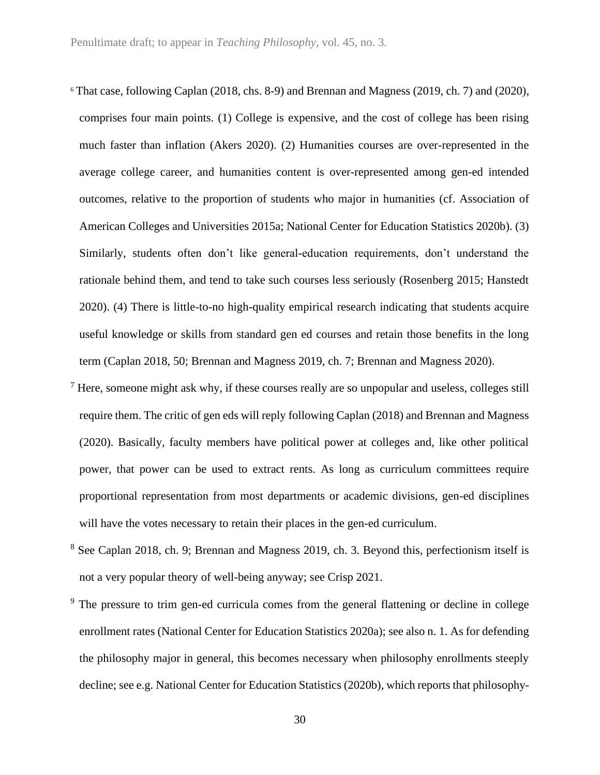- <sup>6</sup> That case, following Caplan (2018, chs. 8-9) and Brennan and Magness (2019, ch. 7) and (2020), comprises four main points. (1) College is expensive, and the cost of college has been rising much faster than inflation (Akers 2020). (2) Humanities courses are over-represented in the average college career, and humanities content is over-represented among gen-ed intended outcomes, relative to the proportion of students who major in humanities (cf. Association of American Colleges and Universities 2015a; National Center for Education Statistics 2020b). (3) Similarly, students often don't like general-education requirements, don't understand the rationale behind them, and tend to take such courses less seriously (Rosenberg 2015; Hanstedt 2020). (4) There is little-to-no high-quality empirical research indicating that students acquire useful knowledge or skills from standard gen ed courses and retain those benefits in the long term (Caplan 2018, 50; Brennan and Magness 2019, ch. 7; Brennan and Magness 2020).
- $<sup>7</sup>$  Here, someone might ask why, if these courses really are so unpopular and useless, colleges still</sup> require them. The critic of gen eds will reply following Caplan (2018) and Brennan and Magness (2020). Basically, faculty members have political power at colleges and, like other political power, that power can be used to extract rents. As long as curriculum committees require proportional representation from most departments or academic divisions, gen-ed disciplines will have the votes necessary to retain their places in the gen-ed curriculum.
- <sup>8</sup> See Caplan 2018, ch. 9; Brennan and Magness 2019, ch. 3. Beyond this, perfectionism itself is not a very popular theory of well-being anyway; see Crisp 2021.
- $9$  The pressure to trim gen-ed curricula comes from the general flattening or decline in college enrollment rates (National Center for Education Statistics 2020a); see also n. 1. As for defending the philosophy major in general, this becomes necessary when philosophy enrollments steeply decline; see e.g. National Center for Education Statistics (2020b), which reports that philosophy-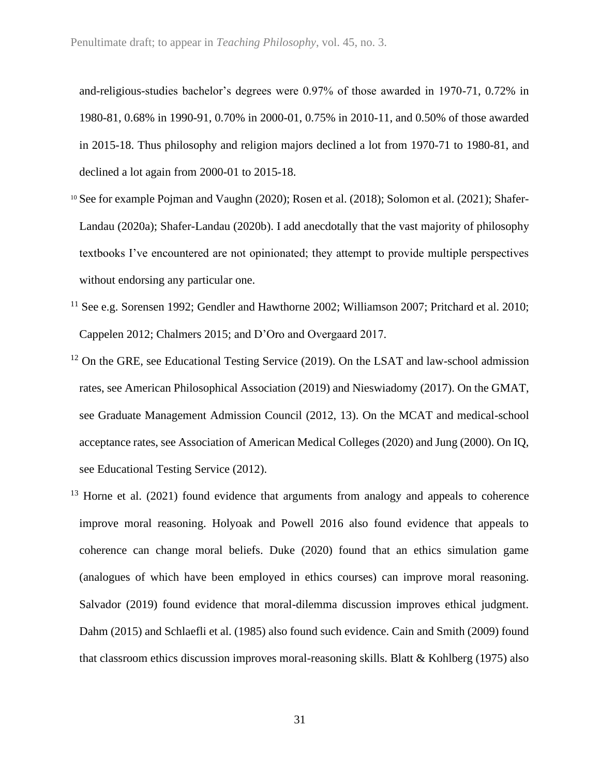and-religious-studies bachelor's degrees were 0.97% of those awarded in 1970-71, 0.72% in 1980-81, 0.68% in 1990-91, 0.70% in 2000-01, 0.75% in 2010-11, and 0.50% of those awarded in 2015-18. Thus philosophy and religion majors declined a lot from 1970-71 to 1980-81, and declined a lot again from 2000-01 to 2015-18.

- <sup>10</sup> See for example Pojman and Vaughn (2020); Rosen et al. (2018); Solomon et al. (2021); Shafer-Landau (2020a); Shafer-Landau (2020b). I add anecdotally that the vast majority of philosophy textbooks I've encountered are not opinionated; they attempt to provide multiple perspectives without endorsing any particular one.
- <sup>11</sup> See e.g. Sorensen 1992; Gendler and Hawthorne 2002; Williamson 2007; Pritchard et al. 2010; Cappelen 2012; Chalmers 2015; and D'Oro and Overgaard 2017.
- <sup>12</sup> On the GRE, see Educational Testing Service (2019). On the LSAT and law-school admission rates, see American Philosophical Association (2019) and Nieswiadomy (2017). On the GMAT, see Graduate Management Admission Council (2012, 13). On the MCAT and medical-school acceptance rates, see Association of American Medical Colleges (2020) and Jung (2000). On IQ, see Educational Testing Service (2012).
- $13$  Horne et al. (2021) found evidence that arguments from analogy and appeals to coherence improve moral reasoning. Holyoak and Powell 2016 also found evidence that appeals to coherence can change moral beliefs. Duke (2020) found that an ethics simulation game (analogues of which have been employed in ethics courses) can improve moral reasoning. Salvador (2019) found evidence that moral-dilemma discussion improves ethical judgment. Dahm (2015) and Schlaefli et al. (1985) also found such evidence. Cain and Smith (2009) found that classroom ethics discussion improves moral-reasoning skills. Blatt & Kohlberg (1975) also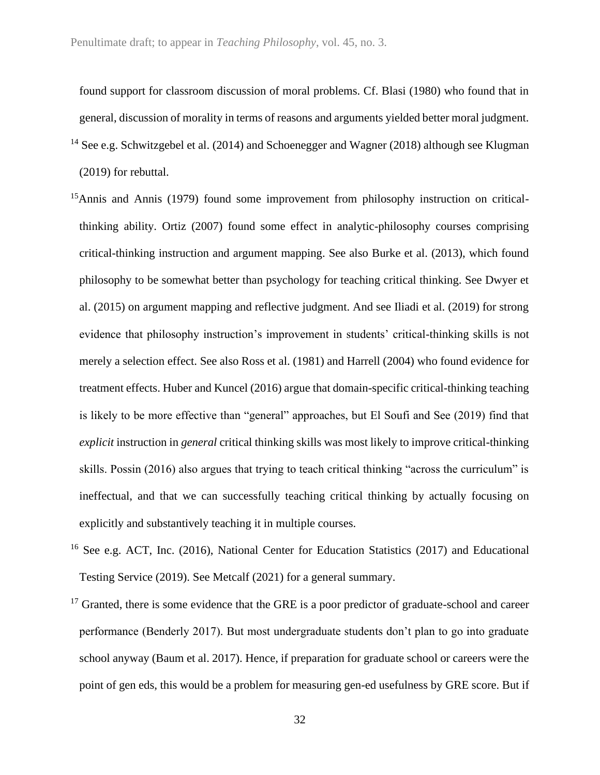found support for classroom discussion of moral problems. Cf. Blasi (1980) who found that in general, discussion of morality in terms of reasons and arguments yielded better moral judgment. <sup>14</sup> See e.g. Schwitzgebel et al. (2014) and Schoenegger and Wagner (2018) although see Klugman (2019) for rebuttal.

- <sup>15</sup>Annis and Annis (1979) found some improvement from philosophy instruction on criticalthinking ability. Ortiz (2007) found some effect in analytic-philosophy courses comprising critical-thinking instruction and argument mapping. See also Burke et al. (2013), which found philosophy to be somewhat better than psychology for teaching critical thinking. See Dwyer et al. (2015) on argument mapping and reflective judgment. And see Iliadi et al. (2019) for strong evidence that philosophy instruction's improvement in students' critical-thinking skills is not merely a selection effect. See also Ross et al. (1981) and Harrell (2004) who found evidence for treatment effects. Huber and Kuncel (2016) argue that domain-specific critical-thinking teaching is likely to be more effective than "general" approaches, but El Soufi and See (2019) find that *explicit* instruction in *general* critical thinking skills was most likely to improve critical-thinking skills. Possin (2016) also argues that trying to teach critical thinking "across the curriculum" is ineffectual, and that we can successfully teaching critical thinking by actually focusing on explicitly and substantively teaching it in multiple courses.
- <sup>16</sup> See e.g. ACT, Inc. (2016), National Center for Education Statistics (2017) and Educational Testing Service (2019). See Metcalf (2021) for a general summary.
- $17$  Granted, there is some evidence that the GRE is a poor predictor of graduate-school and career performance (Benderly 2017). But most undergraduate students don't plan to go into graduate school anyway (Baum et al. 2017). Hence, if preparation for graduate school or careers were the point of gen eds, this would be a problem for measuring gen-ed usefulness by GRE score. But if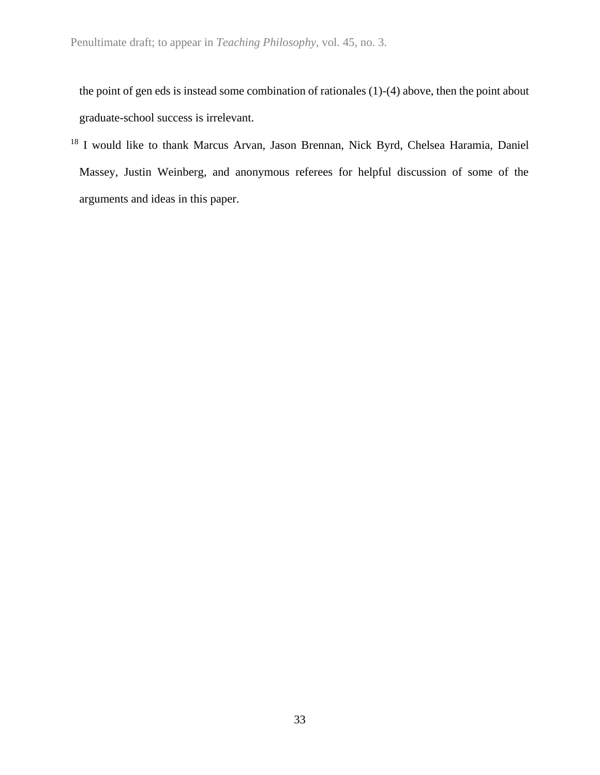the point of gen eds is instead some combination of rationales (1)-(4) above, then the point about graduate-school success is irrelevant.

<sup>18</sup> I would like to thank Marcus Arvan, Jason Brennan, Nick Byrd, Chelsea Haramia, Daniel Massey, Justin Weinberg, and anonymous referees for helpful discussion of some of the arguments and ideas in this paper.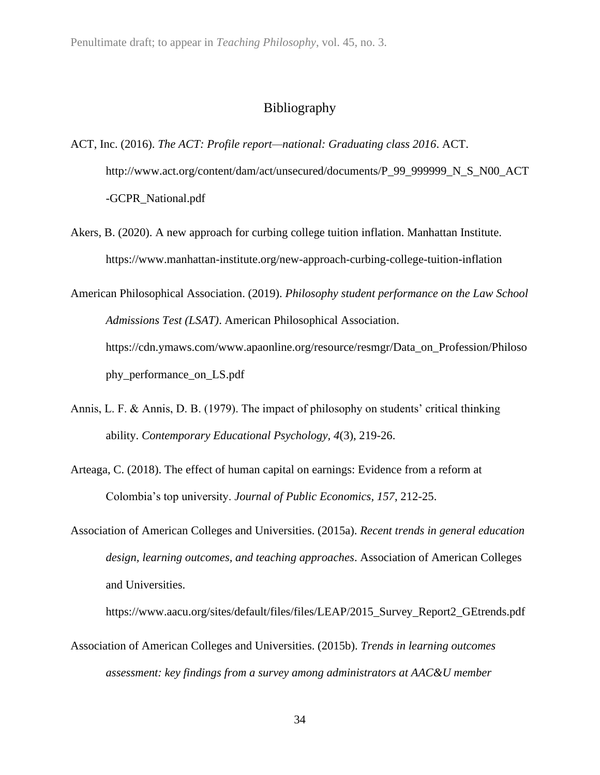# Bibliography

- ACT, Inc. (2016). *The ACT: Profile report—national: Graduating class 2016*. ACT. http://www.act.org/content/dam/act/unsecured/documents/P\_99\_999999\_N\_S\_N00\_ACT -GCPR\_National.pdf
- Akers, B. (2020). A new approach for curbing college tuition inflation. Manhattan Institute. https://www.manhattan-institute.org/new-approach-curbing-college-tuition-inflation
- American Philosophical Association. (2019). *Philosophy student performance on the Law School Admissions Test (LSAT)*. American Philosophical Association. https://cdn.ymaws.com/www.apaonline.org/resource/resmgr/Data\_on\_Profession/Philoso phy\_performance\_on\_LS.pdf
- Annis, L. F. & Annis, D. B. (1979). The impact of philosophy on students' critical thinking ability. *Contemporary Educational Psychology, 4*(3), 219-26.
- Arteaga, C. (2018). The effect of human capital on earnings: Evidence from a reform at Colombia's top university. *Journal of Public Economics, 157*, 212-25.
- Association of American Colleges and Universities. (2015a). *Recent trends in general education design, learning outcomes, and teaching approaches*. Association of American Colleges and Universities.

https://www.aacu.org/sites/default/files/files/LEAP/2015\_Survey\_Report2\_GEtrends.pdf

Association of American Colleges and Universities. (2015b). *Trends in learning outcomes assessment: key findings from a survey among administrators at AAC&U member*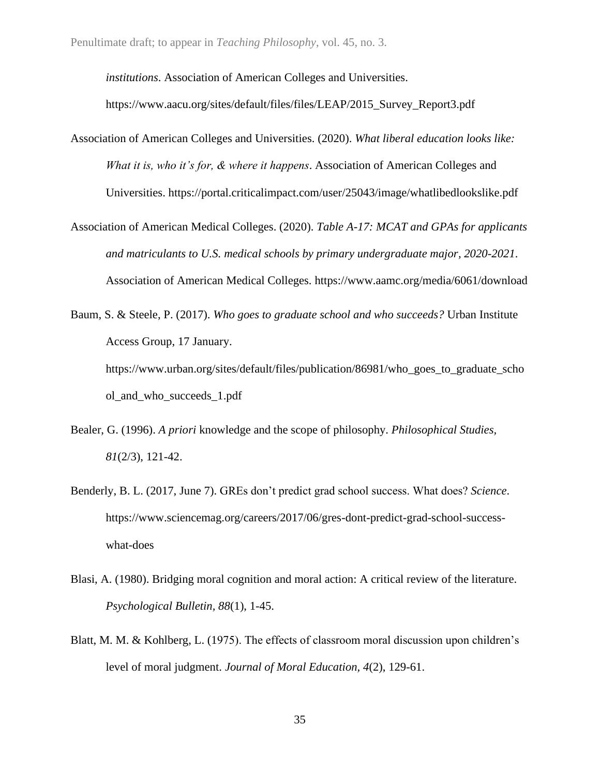*institutions*. Association of American Colleges and Universities.

https://www.aacu.org/sites/default/files/files/LEAP/2015\_Survey\_Report3.pdf

- Association of American Colleges and Universities. (2020). *What liberal education looks like: What it is, who it's for, & where it happens*. Association of American Colleges and Universities. https://portal.criticalimpact.com/user/25043/image/whatlibedlookslike.pdf
- Association of American Medical Colleges. (2020). *Table A-17: MCAT and GPAs for applicants and matriculants to U.S. medical schools by primary undergraduate major, 2020-2021*. Association of American Medical Colleges. https://www.aamc.org/media/6061/download
- Baum, S. & Steele, P. (2017). *Who goes to graduate school and who succeeds?* Urban Institute Access Group, 17 January. https://www.urban.org/sites/default/files/publication/86981/who\_goes\_to\_graduate\_scho ol\_and\_who\_succeeds\_1.pdf
- Bealer, G. (1996). *A priori* knowledge and the scope of philosophy. *Philosophical Studies, 81*(2/3), 121-42.
- Benderly, B. L. (2017, June 7). GREs don't predict grad school success. What does? *Science*. https://www.sciencemag.org/careers/2017/06/gres-dont-predict-grad-school-successwhat-does
- Blasi, A. (1980). Bridging moral cognition and moral action: A critical review of the literature. *Psychological Bulletin, 88*(1), 1-45.
- Blatt, M. M. & Kohlberg, L. (1975). The effects of classroom moral discussion upon children's level of moral judgment. *Journal of Moral Education, 4*(2), 129-61.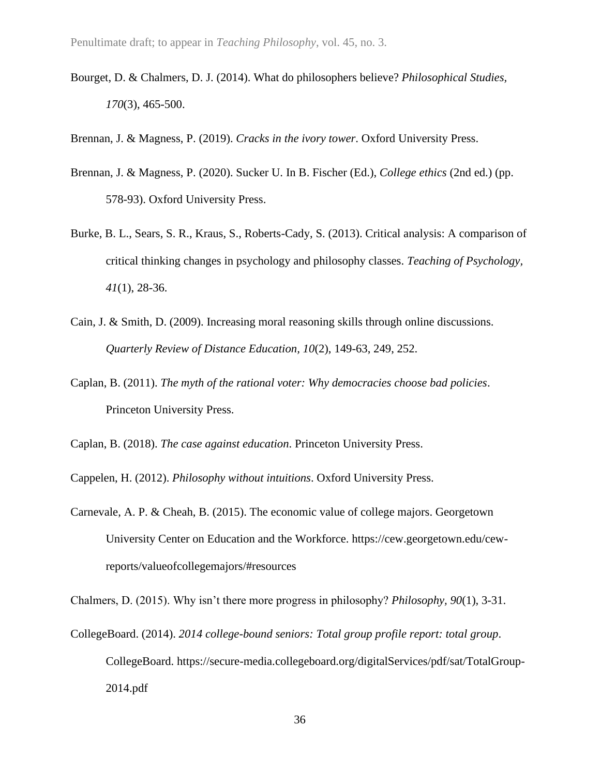Bourget, D. & Chalmers, D. J. (2014). What do philosophers believe? *Philosophical Studies, 170*(3), 465-500.

Brennan, J. & Magness, P. (2019). *Cracks in the ivory tower*. Oxford University Press.

- Brennan, J. & Magness, P. (2020). Sucker U. In B. Fischer (Ed.), *College ethics* (2nd ed.) (pp. 578-93). Oxford University Press.
- Burke, B. L., Sears, S. R., Kraus, S., Roberts-Cady, S. (2013). Critical analysis: A comparison of critical thinking changes in psychology and philosophy classes. *Teaching of Psychology, 41*(1), 28-36.
- Cain, J. & Smith, D. (2009). Increasing moral reasoning skills through online discussions. *Quarterly Review of Distance Education, 10*(2), 149-63, 249, 252.
- Caplan, B. (2011). *The myth of the rational voter: Why democracies choose bad policies*. Princeton University Press.

Caplan, B. (2018). *The case against education*. Princeton University Press.

Cappelen, H. (2012). *Philosophy without intuitions*. Oxford University Press.

Carnevale, A. P. & Cheah, B. (2015). The economic value of college majors. Georgetown University Center on Education and the Workforce. https://cew.georgetown.edu/cewreports/valueofcollegemajors/#resources

Chalmers, D. (2015). Why isn't there more progress in philosophy? *Philosophy, 90*(1), 3-31.

CollegeBoard. (2014). *2014 college-bound seniors: Total group profile report: total group*. CollegeBoard. https://secure-media.collegeboard.org/digitalServices/pdf/sat/TotalGroup-2014.pdf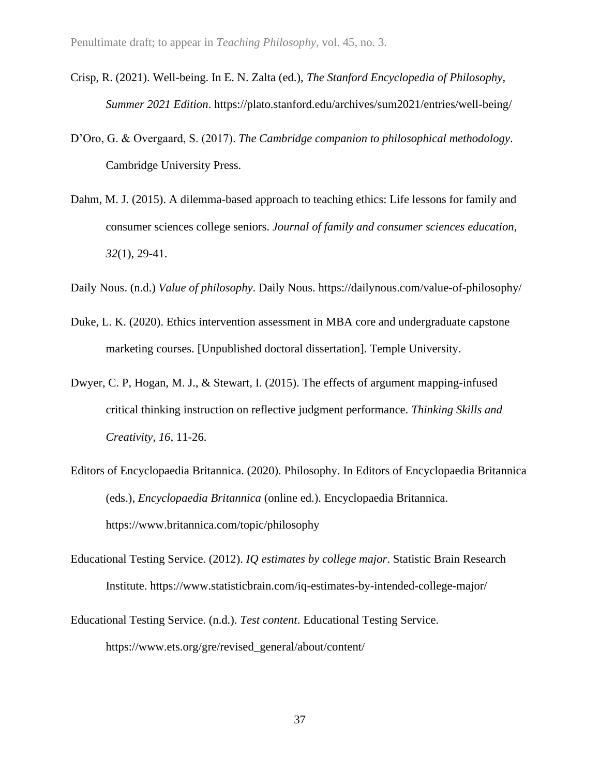- Crisp, R. (2021). Well-being. In E. N. Zalta (ed.), *The Stanford Encyclopedia of Philosophy, Summer 2021 Edition*. https://plato.stanford.edu/archives/sum2021/entries/well-being/
- D'Oro, G. & Overgaard, S. (2017). *The Cambridge companion to philosophical methodology*. Cambridge University Press.
- Dahm, M. J. (2015). A dilemma-based approach to teaching ethics: Life lessons for family and consumer sciences college seniors. *Journal of family and consumer sciences education, 32*(1), 29-41.
- Daily Nous. (n.d.) *Value of philosophy*. Daily Nous. https://dailynous.com/value-of-philosophy/
- Duke, L. K. (2020). Ethics intervention assessment in MBA core and undergraduate capstone marketing courses. [Unpublished doctoral dissertation]. Temple University.
- Dwyer, C. P, Hogan, M. J., & Stewart, I. (2015). The effects of argument mapping-infused critical thinking instruction on reflective judgment performance. *Thinking Skills and Creativity, 16*, 11-26.
- Editors of Encyclopaedia Britannica. (2020). Philosophy. In Editors of Encyclopaedia Britannica (eds.), *Encyclopaedia Britannica* (online ed.). Encyclopaedia Britannica. https://www.britannica.com/topic/philosophy
- Educational Testing Service. (2012). *IQ estimates by college major*. Statistic Brain Research Institute. https://www.statisticbrain.com/iq-estimates-by-intended-college-major/
- Educational Testing Service. (n.d.). *Test content*. Educational Testing Service. https://www.ets.org/gre/revised\_general/about/content/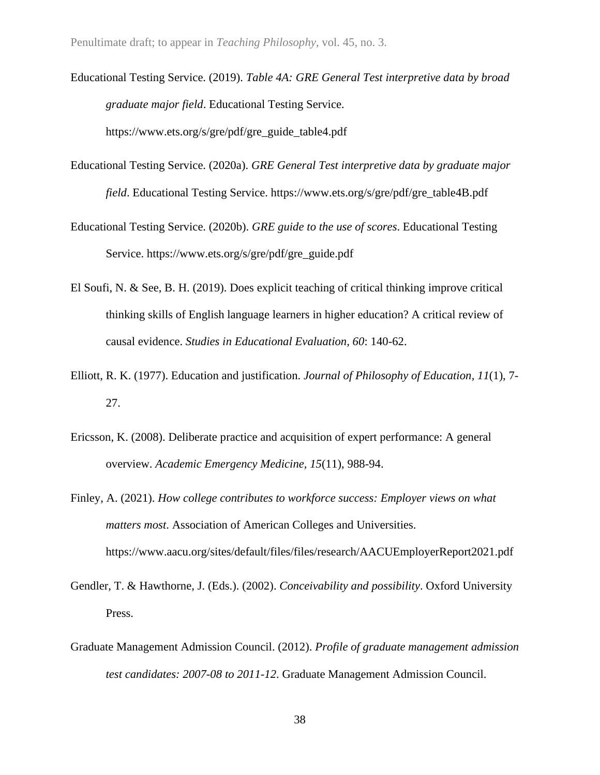- Educational Testing Service. (2019). *Table 4A: GRE General Test interpretive data by broad graduate major field*. Educational Testing Service. https://www.ets.org/s/gre/pdf/gre\_guide\_table4.pdf
- Educational Testing Service. (2020a). *GRE General Test interpretive data by graduate major field*. Educational Testing Service. https://www.ets.org/s/gre/pdf/gre\_table4B.pdf
- Educational Testing Service. (2020b). *GRE guide to the use of scores*. Educational Testing Service. https://www.ets.org/s/gre/pdf/gre\_guide.pdf
- El Soufi, N. & See, B. H. (2019). Does explicit teaching of critical thinking improve critical thinking skills of English language learners in higher education? A critical review of causal evidence. *Studies in Educational Evaluation, 60*: 140-62.
- Elliott, R. K. (1977). Education and justification. *Journal of Philosophy of Education, 11*(1), 7- 27.
- Ericsson, K. (2008). Deliberate practice and acquisition of expert performance: A general overview. *Academic Emergency Medicine, 15*(11), 988-94.
- Finley, A. (2021). *How college contributes to workforce success: Employer views on what matters most*. Association of American Colleges and Universities. https://www.aacu.org/sites/default/files/files/research/AACUEmployerReport2021.pdf
- Gendler, T. & Hawthorne, J. (Eds.). (2002). *Conceivability and possibility*. Oxford University Press.
- Graduate Management Admission Council. (2012). *Profile of graduate management admission test candidates: 2007-08 to 2011-12*. Graduate Management Admission Council.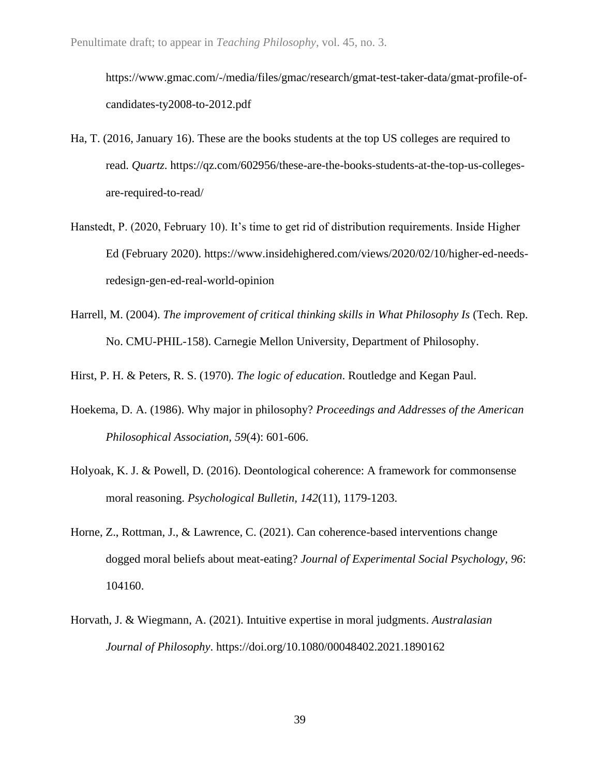https://www.gmac.com/-/media/files/gmac/research/gmat-test-taker-data/gmat-profile-ofcandidates-ty2008-to-2012.pdf

- Ha, T. (2016, January 16). These are the books students at the top US colleges are required to read. *Quartz*. https://qz.com/602956/these-are-the-books-students-at-the-top-us-collegesare-required-to-read/
- Hanstedt, P. (2020, February 10). It's time to get rid of distribution requirements. Inside Higher Ed (February 2020). https://www.insidehighered.com/views/2020/02/10/higher-ed-needsredesign-gen-ed-real-world-opinion
- Harrell, M. (2004). *The improvement of critical thinking skills in What Philosophy Is* (Tech. Rep. No. CMU-PHIL-158). Carnegie Mellon University, Department of Philosophy.

Hirst, P. H. & Peters, R. S. (1970). *The logic of education*. Routledge and Kegan Paul.

- Hoekema, D. A. (1986). Why major in philosophy? *Proceedings and Addresses of the American Philosophical Association, 59*(4): 601-606.
- Holyoak, K. J. & Powell, D. (2016). Deontological coherence: A framework for commonsense moral reasoning. *Psychological Bulletin, 142*(11), 1179-1203.
- Horne, Z., Rottman, J., & Lawrence, C. (2021). Can coherence-based interventions change dogged moral beliefs about meat-eating? *Journal of Experimental Social Psychology, 96*: 104160.
- Horvath, J. & Wiegmann, A. (2021). Intuitive expertise in moral judgments. *Australasian Journal of Philosophy*. https://doi.org/10.1080/00048402.2021.1890162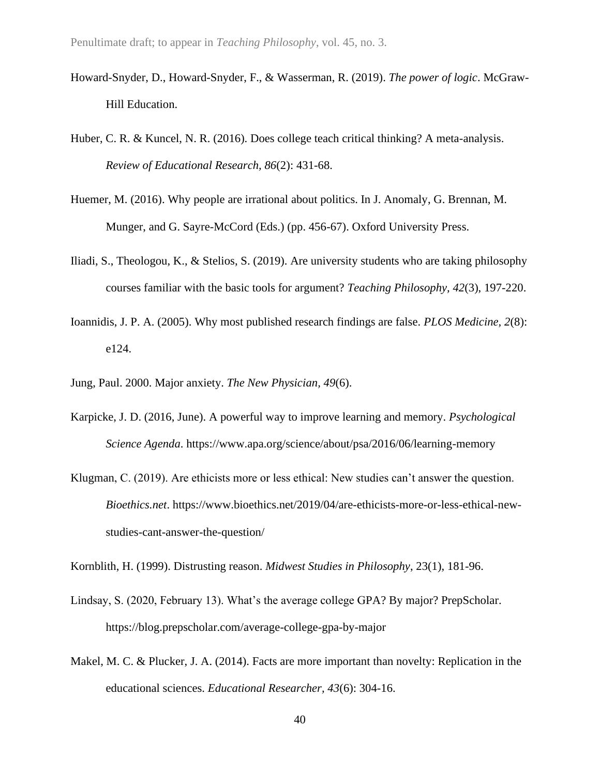- Howard-Snyder, D., Howard-Snyder, F., & Wasserman, R. (2019). *The power of logic*. McGraw-Hill Education.
- Huber, C. R. & Kuncel, N. R. (2016). Does college teach critical thinking? A meta-analysis. *Review of Educational Research, 86*(2): 431-68.
- Huemer, M. (2016). Why people are irrational about politics. In J. Anomaly, G. Brennan, M. Munger, and G. Sayre-McCord (Eds.) (pp. 456-67). Oxford University Press.
- Iliadi, S., Theologou, K., & Stelios, S. (2019). Are university students who are taking philosophy courses familiar with the basic tools for argument? *Teaching Philosophy, 42*(3), 197-220.
- Ioannidis, J. P. A. (2005). Why most published research findings are false. *PLOS Medicine, 2*(8): e124.
- Jung, Paul. 2000. Major anxiety. *The New Physician, 49*(6).
- Karpicke, J. D. (2016, June). A powerful way to improve learning and memory. *Psychological Science Agenda*. https://www.apa.org/science/about/psa/2016/06/learning-memory
- Klugman, C. (2019). Are ethicists more or less ethical: New studies can't answer the question. *Bioethics.net*. https://www.bioethics.net/2019/04/are-ethicists-more-or-less-ethical-newstudies-cant-answer-the-question/

Kornblith, H. (1999). Distrusting reason. *Midwest Studies in Philosophy*, 23(1), 181-96.

- Lindsay, S. (2020, February 13). What's the average college GPA? By major? PrepScholar. https://blog.prepscholar.com/average-college-gpa-by-major
- Makel, M. C. & Plucker, J. A. (2014). Facts are more important than novelty: Replication in the educational sciences. *Educational Researcher, 43*(6): 304-16.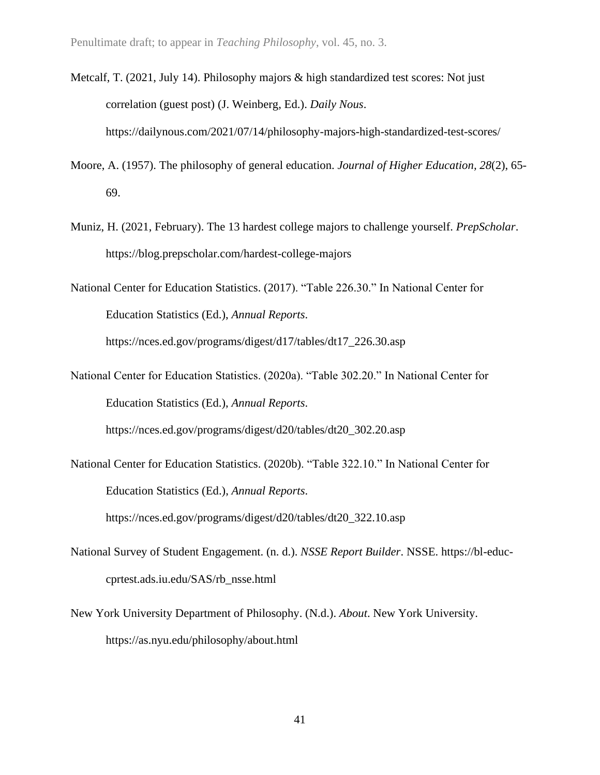- Metcalf, T. (2021, July 14). Philosophy majors & high standardized test scores: Not just correlation (guest post) (J. Weinberg, Ed.). *Daily Nous*. https://dailynous.com/2021/07/14/philosophy-majors-high-standardized-test-scores/
- Moore, A. (1957). The philosophy of general education. *Journal of Higher Education, 28*(2), 65- 69.
- Muniz, H. (2021, February). The 13 hardest college majors to challenge yourself. *PrepScholar*. https://blog.prepscholar.com/hardest-college-majors
- National Center for Education Statistics. (2017). "Table 226.30." In National Center for Education Statistics (Ed.), *Annual Reports*.

https://nces.ed.gov/programs/digest/d17/tables/dt17\_226.30.asp

National Center for Education Statistics. (2020a). "Table 302.20." In National Center for Education Statistics (Ed.), *Annual Reports*.

https://nces.ed.gov/programs/digest/d20/tables/dt20\_302.20.asp

National Center for Education Statistics. (2020b). "Table 322.10." In National Center for Education Statistics (Ed.), *Annual Reports*.

https://nces.ed.gov/programs/digest/d20/tables/dt20\_322.10.asp

- National Survey of Student Engagement. (n. d.). *NSSE Report Builder*. NSSE. https://bl-educcprtest.ads.iu.edu/SAS/rb\_nsse.html
- New York University Department of Philosophy. (N.d.). *About*. New York University. https://as.nyu.edu/philosophy/about.html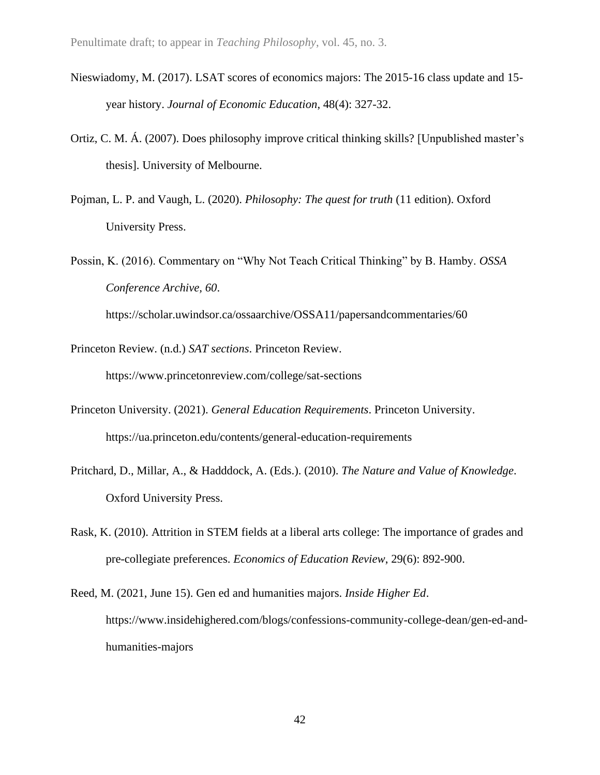- Nieswiadomy, M. (2017). LSAT scores of economics majors: The 2015-16 class update and 15 year history. *Journal of Economic Education*, 48(4): 327-32.
- Ortiz, C. M. Á. (2007). Does philosophy improve critical thinking skills? [Unpublished master's thesis]. University of Melbourne.
- Pojman, L. P. and Vaugh, L. (2020). *Philosophy: The quest for truth* (11 edition). Oxford University Press.
- Possin, K. (2016). Commentary on "Why Not Teach Critical Thinking" by B. Hamby. *OSSA Conference Archive, 60*.

https://scholar.uwindsor.ca/ossaarchive/OSSA11/papersandcommentaries/60

- Princeton Review. (n.d.) *SAT sections*. Princeton Review. https://www.princetonreview.com/college/sat-sections
- Princeton University. (2021). *General Education Requirements*. Princeton University. https://ua.princeton.edu/contents/general-education-requirements
- Pritchard, D., Millar, A., & Hadddock, A. (Eds.). (2010). *The Nature and Value of Knowledge*. Oxford University Press.
- Rask, K. (2010). Attrition in STEM fields at a liberal arts college: The importance of grades and pre-collegiate preferences. *Economics of Education Review*, 29(6): 892-900.
- Reed, M. (2021, June 15). Gen ed and humanities majors. *Inside Higher Ed*. https://www.insidehighered.com/blogs/confessions-community-college-dean/gen-ed-andhumanities-majors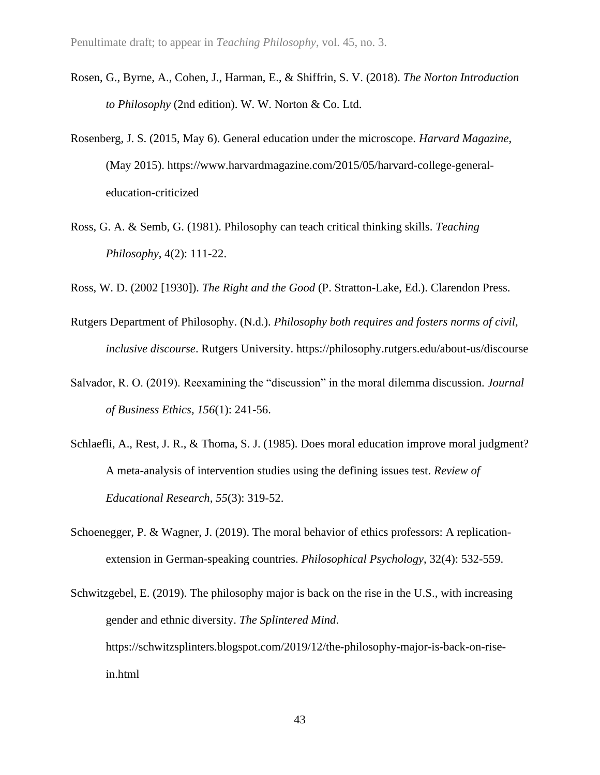- Rosen, G., Byrne, A., Cohen, J., Harman, E., & Shiffrin, S. V. (2018). *The Norton Introduction to Philosophy* (2nd edition). W. W. Norton & Co. Ltd.
- Rosenberg, J. S. (2015, May 6). General education under the microscope. *Harvard Magazine*, (May 2015). https://www.harvardmagazine.com/2015/05/harvard-college-generaleducation-criticized
- Ross, G. A. & Semb, G. (1981). Philosophy can teach critical thinking skills. *Teaching Philosophy*, 4(2): 111-22.

Ross, W. D. (2002 [1930]). *The Right and the Good* (P. Stratton-Lake, Ed.). Clarendon Press.

- Rutgers Department of Philosophy. (N.d.). *Philosophy both requires and fosters norms of civil, inclusive discourse*. Rutgers University. https://philosophy.rutgers.edu/about-us/discourse
- Salvador, R. O. (2019). Reexamining the "discussion" in the moral dilemma discussion. *Journal of Business Ethics, 156*(1): 241-56.
- Schlaefli, A., Rest, J. R., & Thoma, S. J. (1985). Does moral education improve moral judgment? A meta-analysis of intervention studies using the defining issues test. *Review of Educational Research, 55*(3): 319-52.
- Schoenegger, P. & Wagner, J. (2019). The moral behavior of ethics professors: A replicationextension in German-speaking countries. *Philosophical Psychology*, 32(4): 532-559.
- Schwitzgebel, E. (2019). The philosophy major is back on the rise in the U.S., with increasing gender and ethnic diversity. *The Splintered Mind*. https://schwitzsplinters.blogspot.com/2019/12/the-philosophy-major-is-back-on-risein.html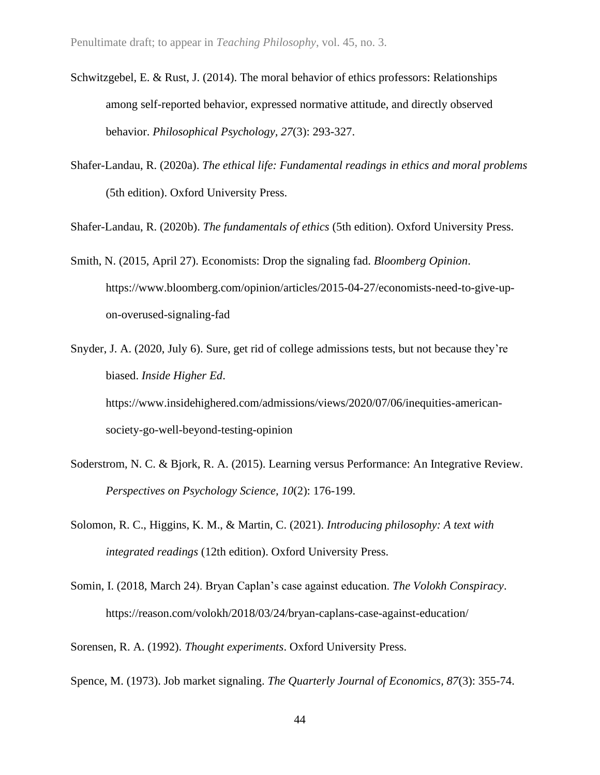- Schwitzgebel, E. & Rust, J. (2014). The moral behavior of ethics professors: Relationships among self-reported behavior, expressed normative attitude, and directly observed behavior. *Philosophical Psychology, 27*(3): 293-327.
- Shafer-Landau, R. (2020a). *The ethical life: Fundamental readings in ethics and moral problems* (5th edition). Oxford University Press.

Shafer-Landau, R. (2020b). *The fundamentals of ethics* (5th edition). Oxford University Press.

Smith, N. (2015, April 27). Economists: Drop the signaling fad. *Bloomberg Opinion*. https://www.bloomberg.com/opinion/articles/2015-04-27/economists-need-to-give-upon-overused-signaling-fad

Snyder, J. A. (2020, July 6). Sure, get rid of college admissions tests, but not because they're biased. *Inside Higher Ed*. https://www.insidehighered.com/admissions/views/2020/07/06/inequities-americansociety-go-well-beyond-testing-opinion

- Soderstrom, N. C. & Bjork, R. A. (2015). Learning versus Performance: An Integrative Review. *Perspectives on Psychology Science, 10*(2): 176-199.
- Solomon, R. C., Higgins, K. M., & Martin, C. (2021). *Introducing philosophy: A text with integrated readings* (12th edition). Oxford University Press.
- Somin, I. (2018, March 24). Bryan Caplan's case against education. *The Volokh Conspiracy*. https://reason.com/volokh/2018/03/24/bryan-caplans-case-against-education/

Sorensen, R. A. (1992). *Thought experiments*. Oxford University Press.

Spence, M. (1973). Job market signaling. *The Quarterly Journal of Economics, 87*(3): 355-74.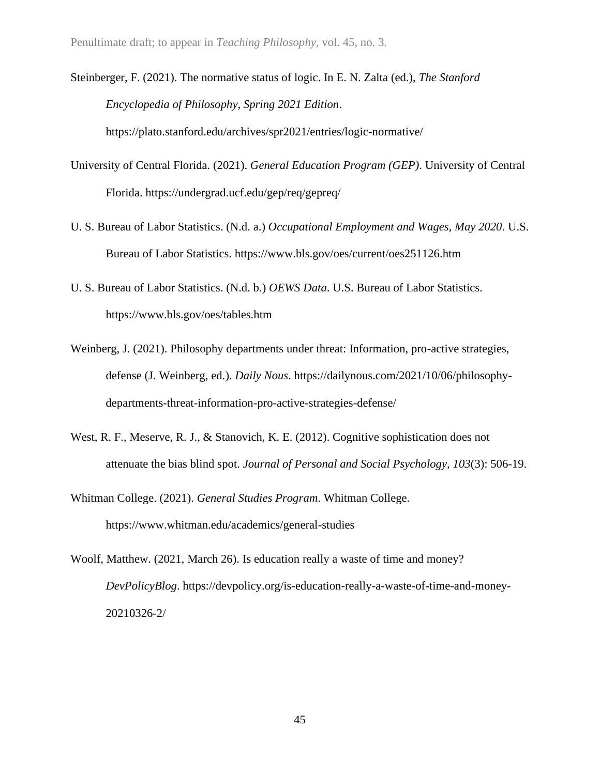Steinberger, F. (2021). The normative status of logic. In E. N. Zalta (ed.), *The Stanford Encyclopedia of Philosophy, Spring 2021 Edition*. https://plato.stanford.edu/archives/spr2021/entries/logic-normative/

- University of Central Florida. (2021). *General Education Program (GEP)*. University of Central Florida. https://undergrad.ucf.edu/gep/req/gepreq/
- U. S. Bureau of Labor Statistics. (N.d. a.) *Occupational Employment and Wages, May 2020*. U.S. Bureau of Labor Statistics. https://www.bls.gov/oes/current/oes251126.htm
- U. S. Bureau of Labor Statistics. (N.d. b.) *OEWS Data*. U.S. Bureau of Labor Statistics. https://www.bls.gov/oes/tables.htm
- Weinberg, J. (2021). Philosophy departments under threat: Information, pro-active strategies, defense (J. Weinberg, ed.). *Daily Nous*. https://dailynous.com/2021/10/06/philosophydepartments-threat-information-pro-active-strategies-defense/
- West, R. F., Meserve, R. J., & Stanovich, K. E. (2012). Cognitive sophistication does not attenuate the bias blind spot. *Journal of Personal and Social Psychology, 103*(3): 506-19.
- Whitman College. (2021). *General Studies Program*. Whitman College. https://www.whitman.edu/academics/general-studies
- Woolf, Matthew. (2021, March 26). Is education really a waste of time and money? *DevPolicyBlog*. https://devpolicy.org/is-education-really-a-waste-of-time-and-money-20210326-2/